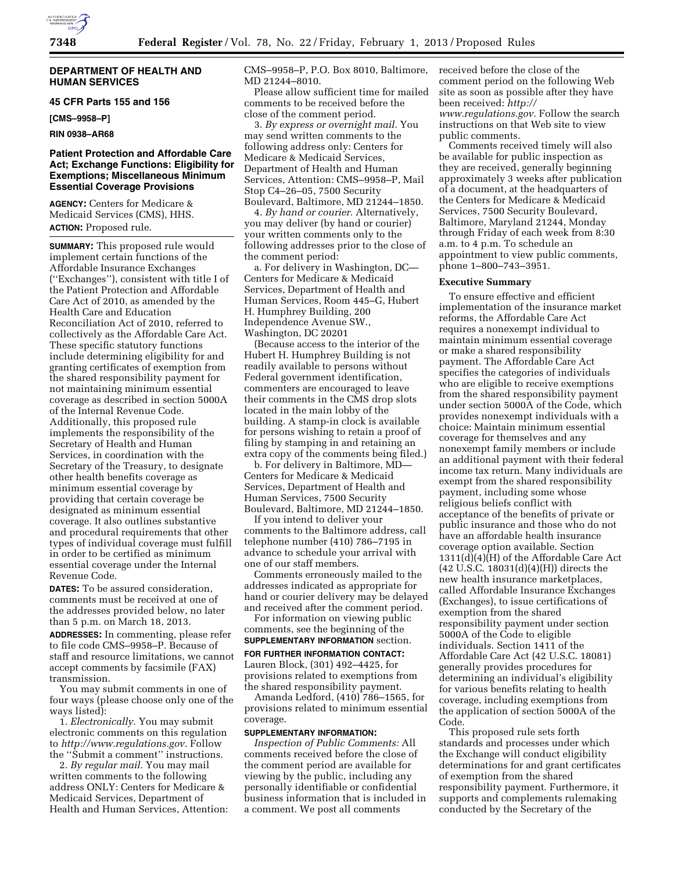

# **DEPARTMENT OF HEALTH AND HUMAN SERVICES**

# **45 CFR Parts 155 and 156**

**[CMS–9958–P]** 

# **RIN 0938–AR68**

# **Patient Protection and Affordable Care Act; Exchange Functions: Eligibility for Exemptions; Miscellaneous Minimum Essential Coverage Provisions**

**AGENCY:** Centers for Medicare & Medicaid Services (CMS), HHS. **ACTION:** Proposed rule.

**SUMMARY:** This proposed rule would implement certain functions of the Affordable Insurance Exchanges (''Exchanges''), consistent with title I of the Patient Protection and Affordable Care Act of 2010, as amended by the Health Care and Education Reconciliation Act of 2010, referred to collectively as the Affordable Care Act. These specific statutory functions include determining eligibility for and granting certificates of exemption from the shared responsibility payment for not maintaining minimum essential coverage as described in section 5000A of the Internal Revenue Code. Additionally, this proposed rule implements the responsibility of the Secretary of Health and Human Services, in coordination with the Secretary of the Treasury, to designate other health benefits coverage as minimum essential coverage by providing that certain coverage be designated as minimum essential coverage. It also outlines substantive and procedural requirements that other types of individual coverage must fulfill in order to be certified as minimum essential coverage under the Internal Revenue Code.

**DATES:** To be assured consideration, comments must be received at one of the addresses provided below, no later than 5 p.m. on March 18, 2013.

**ADDRESSES:** In commenting, please refer to file code CMS–9958–P. Because of staff and resource limitations, we cannot accept comments by facsimile (FAX) transmission.

You may submit comments in one of four ways (please choose only one of the ways listed):

1. *Electronically.* You may submit electronic comments on this regulation to *<http://www.regulations.gov>*. Follow the ''Submit a comment'' instructions.

2. *By regular mail.* You may mail written comments to the following address ONLY: Centers for Medicare & Medicaid Services, Department of Health and Human Services, Attention: CMS–9958–P, P.O. Box 8010, Baltimore, MD 21244–8010.

Please allow sufficient time for mailed comments to be received before the close of the comment period.

3. *By express or overnight mail.* You may send written comments to the following address only: Centers for Medicare & Medicaid Services, Department of Health and Human Services, Attention: CMS–9958–P, Mail Stop C4–26–05, 7500 Security Boulevard, Baltimore, MD 21244–1850.

4. *By hand or courier.* Alternatively, you may deliver (by hand or courier) your written comments only to the following addresses prior to the close of the comment period:

a. For delivery in Washington, DC— Centers for Medicare & Medicaid Services, Department of Health and Human Services, Room 445–G, Hubert H. Humphrey Building, 200 Independence Avenue SW., Washington, DC 20201

(Because access to the interior of the Hubert H. Humphrey Building is not readily available to persons without Federal government identification, commenters are encouraged to leave their comments in the CMS drop slots located in the main lobby of the building. A stamp-in clock is available for persons wishing to retain a proof of filing by stamping in and retaining an extra copy of the comments being filed.)

b. For delivery in Baltimore, MD— Centers for Medicare & Medicaid Services, Department of Health and Human Services, 7500 Security Boulevard, Baltimore, MD 21244–1850.

If you intend to deliver your comments to the Baltimore address, call telephone number (410) 786–7195 in advance to schedule your arrival with one of our staff members.

Comments erroneously mailed to the addresses indicated as appropriate for hand or courier delivery may be delayed and received after the comment period.

For information on viewing public comments, see the beginning of the **SUPPLEMENTARY INFORMATION** section. **FOR FURTHER INFORMATION CONTACT:**  Lauren Block, (301) 492–4425, for provisions related to exemptions from the shared responsibility payment.

Amanda Ledford, (410) 786–1565, for provisions related to minimum essential coverage.

### **SUPPLEMENTARY INFORMATION:**

*Inspection of Public Comments:* All comments received before the close of the comment period are available for viewing by the public, including any personally identifiable or confidential business information that is included in a comment. We post all comments

received before the close of the comment period on the following Web site as soon as possible after they have been received: *[http://](http://www.regulations.gov) [www.regulations.gov](http://www.regulations.gov)*. Follow the search instructions on that Web site to view public comments.

Comments received timely will also be available for public inspection as they are received, generally beginning approximately 3 weeks after publication of a document, at the headquarters of the Centers for Medicare & Medicaid Services, 7500 Security Boulevard, Baltimore, Maryland 21244, Monday through Friday of each week from 8:30 a.m. to 4 p.m. To schedule an appointment to view public comments, phone 1–800–743–3951.

#### **Executive Summary**

To ensure effective and efficient implementation of the insurance market reforms, the Affordable Care Act requires a nonexempt individual to maintain minimum essential coverage or make a shared responsibility payment. The Affordable Care Act specifies the categories of individuals who are eligible to receive exemptions from the shared responsibility payment under section 5000A of the Code, which provides nonexempt individuals with a choice: Maintain minimum essential coverage for themselves and any nonexempt family members or include an additional payment with their federal income tax return. Many individuals are exempt from the shared responsibility payment, including some whose religious beliefs conflict with acceptance of the benefits of private or public insurance and those who do not have an affordable health insurance coverage option available. Section 1311(d)(4)(H) of the Affordable Care Act (42 U.S.C. 18031(d)(4)(H)) directs the new health insurance marketplaces, called Affordable Insurance Exchanges (Exchanges), to issue certifications of exemption from the shared responsibility payment under section 5000A of the Code to eligible individuals. Section 1411 of the Affordable Care Act (42 U.S.C. 18081) generally provides procedures for determining an individual's eligibility for various benefits relating to health coverage, including exemptions from the application of section 5000A of the Code.

This proposed rule sets forth standards and processes under which the Exchange will conduct eligibility determinations for and grant certificates of exemption from the shared responsibility payment. Furthermore, it supports and complements rulemaking conducted by the Secretary of the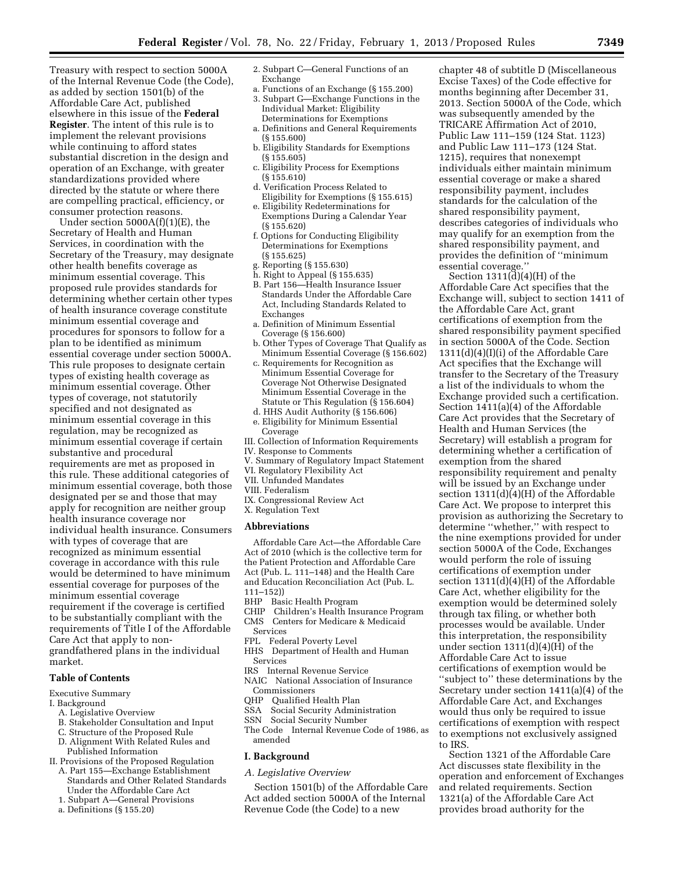Treasury with respect to section 5000A of the Internal Revenue Code (the Code), as added by section 1501(b) of the Affordable Care Act, published elsewhere in this issue of the **Federal Register**. The intent of this rule is to implement the relevant provisions while continuing to afford states substantial discretion in the design and operation of an Exchange, with greater standardizations provided where directed by the statute or where there are compelling practical, efficiency, or consumer protection reasons.

Under section 5000A(f)(1)(E), the Secretary of Health and Human Services, in coordination with the Secretary of the Treasury, may designate other health benefits coverage as minimum essential coverage. This proposed rule provides standards for determining whether certain other types of health insurance coverage constitute minimum essential coverage and procedures for sponsors to follow for a plan to be identified as minimum essential coverage under section 5000A. This rule proposes to designate certain types of existing health coverage as minimum essential coverage. Other types of coverage, not statutorily specified and not designated as minimum essential coverage in this regulation, may be recognized as minimum essential coverage if certain substantive and procedural requirements are met as proposed in this rule. These additional categories of minimum essential coverage, both those designated per se and those that may apply for recognition are neither group health insurance coverage nor individual health insurance. Consumers with types of coverage that are recognized as minimum essential coverage in accordance with this rule would be determined to have minimum essential coverage for purposes of the minimum essential coverage requirement if the coverage is certified to be substantially compliant with the requirements of Title I of the Affordable Care Act that apply to nongrandfathered plans in the individual market.

# **Table of Contents**

Executive Summary

#### I. Background

- A. Legislative Overview
- B. Stakeholder Consultation and Input
- C. Structure of the Proposed Rule D. Alignment With Related Rules and
- Published Information
- II. Provisions of the Proposed Regulation
	- A. Part 155—Exchange Establishment Standards and Other Related Standards Under the Affordable Care Act
	- 1. Subpart A—General Provisions
	- a. Definitions (§ 155.20)
- 2. Subpart C—General Functions of an Exchange
- a. Functions of an Exchange (§ 155.200)
- 3. Subpart G—Exchange Functions in the Individual Market: Eligibility Determinations for Exemptions a. Definitions and General Requirements
- (§ 155.600)
- b. Eligibility Standards for Exemptions (§ 155.605)
- c. Eligibility Process for Exemptions (§ 155.610)
- d. Verification Process Related to Eligibility for Exemptions (§ 155.615)
- e. Eligibility Redeterminations for Exemptions During a Calendar Year (§ 155.620)
- f. Options for Conducting Eligibility Determinations for Exemptions (§ 155.625)
- g. Reporting (§ 155.630)
- h. Right to Appeal (§ 155.635)
- B. Part 156—Health Insurance Issuer Standards Under the Affordable Care Act, Including Standards Related to Exchanges
- a. Definition of Minimum Essential Coverage (§ 156.600)
- b. Other Types of Coverage That Qualify as Minimum Essential Coverage (§ 156.602)
- c. Requirements for Recognition as Minimum Essential Coverage for Coverage Not Otherwise Designated Minimum Essential Coverage in the Statute or This Regulation (§ 156.604)
- d. HHS Audit Authority (§ 156.606) e. Eligibility for Minimum Essential
- Coverage III. Collection of Information Requirements
- IV. Response to Comments
- V. Summary of Regulatory Impact Statement
- VI. Regulatory Flexibility Act
- VII. Unfunded Mandates
- VIII. Federalism
- IX. Congressional Review Act
- X. Regulation Text

#### **Abbreviations**

Affordable Care Act—the Affordable Care Act of 2010 (which is the collective term for the Patient Protection and Affordable Care Act (Pub. L. 111–148) and the Health Care and Education Reconciliation Act (Pub. L. 111–152))

- BHP Basic Health Program<br>CHIP Children's Health Ins
- CHIP Children's Health Insurance Program Centers for Medicare & Medicaid
- Services
- FPL Federal Poverty Level
- HHS Department of Health and Human Services
- IRS Internal Revenue Service
- NAIC National Association of Insurance Commissioners
- QHP Qualified Health Plan
- SSA Social Security Administration
- SSN Social Security Number
- The Code Internal Revenue Code of 1986, as amended

#### **I. Background**

#### *A. Legislative Overview*

Section 1501(b) of the Affordable Care Act added section 5000A of the Internal Revenue Code (the Code) to a new

chapter 48 of subtitle D (Miscellaneous Excise Taxes) of the Code effective for months beginning after December 31, 2013. Section 5000A of the Code, which was subsequently amended by the TRICARE Affirmation Act of 2010, Public Law 111–159 (124 Stat. 1123) and Public Law 111–173 (124 Stat. 1215), requires that nonexempt individuals either maintain minimum essential coverage or make a shared responsibility payment, includes standards for the calculation of the shared responsibility payment, describes categories of individuals who may qualify for an exemption from the shared responsibility payment, and provides the definition of ''minimum essential coverage.''

Section  $1311\text{(\check{d})}(4)\text{(\check{H})}$  of the Affordable Care Act specifies that the Exchange will, subject to section 1411 of the Affordable Care Act, grant certifications of exemption from the shared responsibility payment specified in section 5000A of the Code. Section 1311(d)(4)(I)(i) of the Affordable Care Act specifies that the Exchange will transfer to the Secretary of the Treasury a list of the individuals to whom the Exchange provided such a certification. Section 1411(a)(4) of the Affordable Care Act provides that the Secretary of Health and Human Services (the Secretary) will establish a program for determining whether a certification of exemption from the shared responsibility requirement and penalty will be issued by an Exchange under section 1311(d)(4)(H) of the Affordable Care Act. We propose to interpret this provision as authorizing the Secretary to determine ''whether,'' with respect to the nine exemptions provided for under section 5000A of the Code, Exchanges would perform the role of issuing certifications of exemption under section 1311(d)(4)(H) of the Affordable Care Act, whether eligibility for the exemption would be determined solely through tax filing, or whether both processes would be available. Under this interpretation, the responsibility under section 1311(d)(4)(H) of the Affordable Care Act to issue certifications of exemption would be ''subject to'' these determinations by the Secretary under section 1411(a)(4) of the Affordable Care Act, and Exchanges would thus only be required to issue certifications of exemption with respect to exemptions not exclusively assigned to IRS.

Section 1321 of the Affordable Care Act discusses state flexibility in the operation and enforcement of Exchanges and related requirements. Section 1321(a) of the Affordable Care Act provides broad authority for the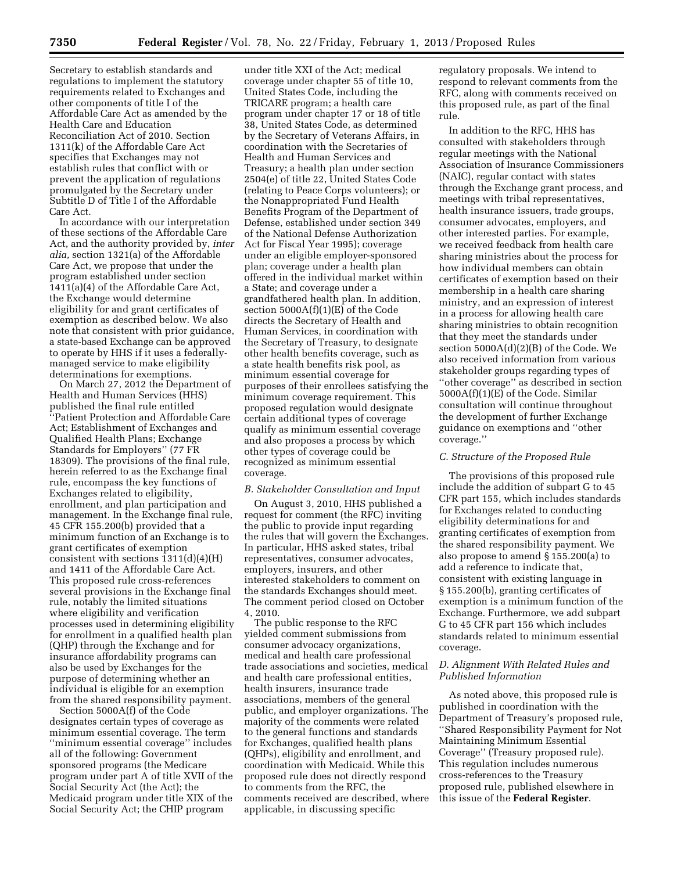Secretary to establish standards and regulations to implement the statutory requirements related to Exchanges and other components of title I of the Affordable Care Act as amended by the Health Care and Education Reconciliation Act of 2010. Section 1311(k) of the Affordable Care Act specifies that Exchanges may not establish rules that conflict with or prevent the application of regulations promulgated by the Secretary under Subtitle D of Title I of the Affordable Care Act.

In accordance with our interpretation of these sections of the Affordable Care Act, and the authority provided by, *inter alia,* section 1321(a) of the Affordable Care Act, we propose that under the program established under section 1411(a)(4) of the Affordable Care Act, the Exchange would determine eligibility for and grant certificates of exemption as described below. We also note that consistent with prior guidance, a state-based Exchange can be approved to operate by HHS if it uses a federallymanaged service to make eligibility determinations for exemptions.

On March 27, 2012 the Department of Health and Human Services (HHS) published the final rule entitled ''Patient Protection and Affordable Care Act; Establishment of Exchanges and Qualified Health Plans; Exchange Standards for Employers'' (77 FR 18309). The provisions of the final rule, herein referred to as the Exchange final rule, encompass the key functions of Exchanges related to eligibility, enrollment, and plan participation and management. In the Exchange final rule, 45 CFR 155.200(b) provided that a minimum function of an Exchange is to grant certificates of exemption consistent with sections 1311(d)(4)(H) and 1411 of the Affordable Care Act. This proposed rule cross-references several provisions in the Exchange final rule, notably the limited situations where eligibility and verification processes used in determining eligibility for enrollment in a qualified health plan (QHP) through the Exchange and for insurance affordability programs can also be used by Exchanges for the purpose of determining whether an individual is eligible for an exemption from the shared responsibility payment.

Section 5000A(f) of the Code designates certain types of coverage as minimum essential coverage. The term ''minimum essential coverage'' includes all of the following: Government sponsored programs (the Medicare program under part A of title XVII of the Social Security Act (the Act); the Medicaid program under title XIX of the Social Security Act; the CHIP program

under title XXI of the Act; medical coverage under chapter 55 of title 10, United States Code, including the TRICARE program; a health care program under chapter 17 or 18 of title 38, United States Code, as determined by the Secretary of Veterans Affairs, in coordination with the Secretaries of Health and Human Services and Treasury; a health plan under section 2504(e) of title 22, United States Code (relating to Peace Corps volunteers); or the Nonappropriated Fund Health Benefits Program of the Department of Defense, established under section 349 of the National Defense Authorization Act for Fiscal Year 1995); coverage under an eligible employer-sponsored plan; coverage under a health plan offered in the individual market within a State; and coverage under a grandfathered health plan. In addition, section  $5000A(f)(1)(E)$  of the Code directs the Secretary of Health and Human Services, in coordination with the Secretary of Treasury, to designate other health benefits coverage, such as a state health benefits risk pool, as minimum essential coverage for purposes of their enrollees satisfying the minimum coverage requirement. This proposed regulation would designate certain additional types of coverage qualify as minimum essential coverage and also proposes a process by which other types of coverage could be recognized as minimum essential coverage.

#### *B. Stakeholder Consultation and Input*

On August 3, 2010, HHS published a request for comment (the RFC) inviting the public to provide input regarding the rules that will govern the Exchanges. In particular, HHS asked states, tribal representatives, consumer advocates, employers, insurers, and other interested stakeholders to comment on the standards Exchanges should meet. The comment period closed on October 4, 2010.

The public response to the RFC yielded comment submissions from consumer advocacy organizations, medical and health care professional trade associations and societies, medical and health care professional entities, health insurers, insurance trade associations, members of the general public, and employer organizations. The majority of the comments were related to the general functions and standards for Exchanges, qualified health plans (QHPs), eligibility and enrollment, and coordination with Medicaid. While this proposed rule does not directly respond to comments from the RFC, the comments received are described, where applicable, in discussing specific

regulatory proposals. We intend to respond to relevant comments from the RFC, along with comments received on this proposed rule, as part of the final rule.

In addition to the RFC, HHS has consulted with stakeholders through regular meetings with the National Association of Insurance Commissioners (NAIC), regular contact with states through the Exchange grant process, and meetings with tribal representatives, health insurance issuers, trade groups, consumer advocates, employers, and other interested parties. For example, we received feedback from health care sharing ministries about the process for how individual members can obtain certificates of exemption based on their membership in a health care sharing ministry, and an expression of interest in a process for allowing health care sharing ministries to obtain recognition that they meet the standards under section 5000A(d)(2)(B) of the Code. We also received information from various stakeholder groups regarding types of ''other coverage'' as described in section 5000A(f)(1)(E) of the Code. Similar consultation will continue throughout the development of further Exchange guidance on exemptions and ''other coverage.''

### *C. Structure of the Proposed Rule*

The provisions of this proposed rule include the addition of subpart G to 45 CFR part 155, which includes standards for Exchanges related to conducting eligibility determinations for and granting certificates of exemption from the shared responsibility payment. We also propose to amend § 155.200(a) to add a reference to indicate that, consistent with existing language in § 155.200(b), granting certificates of exemption is a minimum function of the Exchange. Furthermore, we add subpart G to 45 CFR part 156 which includes standards related to minimum essential coverage.

# *D. Alignment With Related Rules and Published Information*

As noted above, this proposed rule is published in coordination with the Department of Treasury's proposed rule, ''Shared Responsibility Payment for Not Maintaining Minimum Essential Coverage'' (Treasury proposed rule). This regulation includes numerous cross-references to the Treasury proposed rule, published elsewhere in this issue of the **Federal Register**.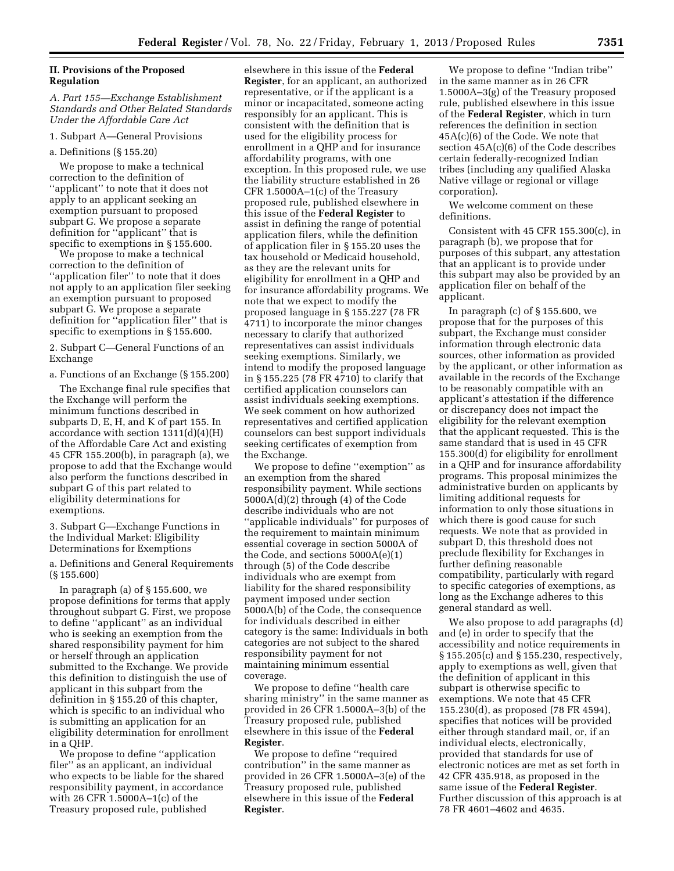# **II. Provisions of the Proposed Regulation**

# *A. Part 155—Exchange Establishment Standards and Other Related Standards Under the Affordable Care Act*

1. Subpart A—General Provisions

#### a. Definitions (§ 155.20)

We propose to make a technical correction to the definition of ''applicant'' to note that it does not apply to an applicant seeking an exemption pursuant to proposed subpart G. We propose a separate definition for ''applicant'' that is specific to exemptions in § 155.600.

We propose to make a technical correction to the definition of ''application filer'' to note that it does not apply to an application filer seeking an exemption pursuant to proposed subpart G. We propose a separate definition for ''application filer'' that is specific to exemptions in § 155.600.

2. Subpart C—General Functions of an Exchange

a. Functions of an Exchange (§ 155.200)

The Exchange final rule specifies that the Exchange will perform the minimum functions described in subparts D, E, H, and K of part 155. In accordance with section  $1311(d)(4)(H)$ of the Affordable Care Act and existing 45 CFR 155.200(b), in paragraph (a), we propose to add that the Exchange would also perform the functions described in subpart G of this part related to eligibility determinations for exemptions.

3. Subpart G—Exchange Functions in the Individual Market: Eligibility Determinations for Exemptions

a. Definitions and General Requirements (§ 155.600)

In paragraph (a) of § 155.600, we propose definitions for terms that apply throughout subpart G. First, we propose to define ''applicant'' as an individual who is seeking an exemption from the shared responsibility payment for him or herself through an application submitted to the Exchange. We provide this definition to distinguish the use of applicant in this subpart from the definition in § 155.20 of this chapter, which is specific to an individual who is submitting an application for an eligibility determination for enrollment in a QHP.

We propose to define ''application filer'' as an applicant, an individual who expects to be liable for the shared responsibility payment, in accordance with 26 CFR 1.5000A–1(c) of the Treasury proposed rule, published

elsewhere in this issue of the **Federal Register**, for an applicant, an authorized representative, or if the applicant is a minor or incapacitated, someone acting responsibly for an applicant. This is consistent with the definition that is used for the eligibility process for enrollment in a QHP and for insurance affordability programs, with one exception. In this proposed rule, we use the liability structure established in 26 CFR 1.5000A–1(c) of the Treasury proposed rule, published elsewhere in this issue of the **Federal Register** to assist in defining the range of potential application filers, while the definition of application filer in § 155.20 uses the tax household or Medicaid household, as they are the relevant units for eligibility for enrollment in a QHP and for insurance affordability programs. We note that we expect to modify the proposed language in § 155.227 (78 FR 4711) to incorporate the minor changes necessary to clarify that authorized representatives can assist individuals seeking exemptions. Similarly, we intend to modify the proposed language in § 155.225 (78 FR 4710) to clarify that certified application counselors can assist individuals seeking exemptions. We seek comment on how authorized representatives and certified application counselors can best support individuals seeking certificates of exemption from the Exchange.

We propose to define "exemption" as an exemption from the shared responsibility payment. While sections 5000A(d)(2) through (4) of the Code describe individuals who are not ''applicable individuals'' for purposes of the requirement to maintain minimum essential coverage in section 5000A of the Code, and sections 5000A(e)(1) through (5) of the Code describe individuals who are exempt from liability for the shared responsibility payment imposed under section 5000A(b) of the Code, the consequence for individuals described in either category is the same: Individuals in both categories are not subject to the shared responsibility payment for not maintaining minimum essential coverage.

We propose to define ''health care sharing ministry'' in the same manner as provided in 26 CFR 1.5000A–3(b) of the Treasury proposed rule, published elsewhere in this issue of the **Federal Register**.

We propose to define ''required contribution'' in the same manner as provided in 26 CFR 1.5000A–3(e) of the Treasury proposed rule, published elsewhere in this issue of the **Federal Register**.

We propose to define ''Indian tribe'' in the same manner as in 26 CFR 1.5000A–3(g) of the Treasury proposed rule, published elsewhere in this issue of the **Federal Register**, which in turn references the definition in section 45A(c)(6) of the Code. We note that section 45A(c)(6) of the Code describes certain federally-recognized Indian tribes (including any qualified Alaska Native village or regional or village corporation).

We welcome comment on these definitions.

Consistent with 45 CFR 155.300(c), in paragraph (b), we propose that for purposes of this subpart, any attestation that an applicant is to provide under this subpart may also be provided by an application filer on behalf of the applicant.

In paragraph (c) of  $\S 155.600$ , we propose that for the purposes of this subpart, the Exchange must consider information through electronic data sources, other information as provided by the applicant, or other information as available in the records of the Exchange to be reasonably compatible with an applicant's attestation if the difference or discrepancy does not impact the eligibility for the relevant exemption that the applicant requested. This is the same standard that is used in 45 CFR 155.300(d) for eligibility for enrollment in a QHP and for insurance affordability programs. This proposal minimizes the administrative burden on applicants by limiting additional requests for information to only those situations in which there is good cause for such requests. We note that as provided in subpart D, this threshold does not preclude flexibility for Exchanges in further defining reasonable compatibility, particularly with regard to specific categories of exemptions, as long as the Exchange adheres to this general standard as well.

We also propose to add paragraphs (d) and (e) in order to specify that the accessibility and notice requirements in § 155.205(c) and § 155.230, respectively, apply to exemptions as well, given that the definition of applicant in this subpart is otherwise specific to exemptions. We note that 45 CFR 155.230(d), as proposed (78 FR 4594), specifies that notices will be provided either through standard mail, or, if an individual elects, electronically, provided that standards for use of electronic notices are met as set forth in 42 CFR 435.918, as proposed in the same issue of the **Federal Register**. Further discussion of this approach is at 78 FR 4601–4602 and 4635.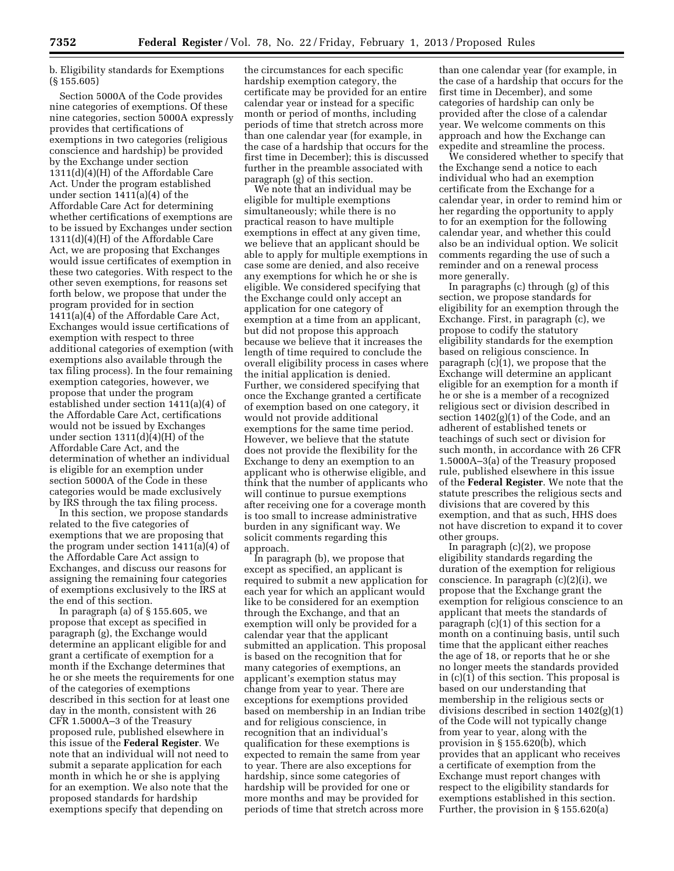b. Eligibility standards for Exemptions (§ 155.605)

Section 5000A of the Code provides nine categories of exemptions. Of these nine categories, section 5000A expressly provides that certifications of exemptions in two categories (religious conscience and hardship) be provided by the Exchange under section 1311(d)(4)(H) of the Affordable Care Act. Under the program established under section 1411(a)(4) of the Affordable Care Act for determining whether certifications of exemptions are to be issued by Exchanges under section 1311(d)(4)(H) of the Affordable Care Act, we are proposing that Exchanges would issue certificates of exemption in these two categories. With respect to the other seven exemptions, for reasons set forth below, we propose that under the program provided for in section 1411(a)(4) of the Affordable Care Act, Exchanges would issue certifications of exemption with respect to three additional categories of exemption (with exemptions also available through the tax filing process). In the four remaining exemption categories, however, we propose that under the program established under section 1411(a)(4) of the Affordable Care Act, certifications would not be issued by Exchanges under section 1311(d)(4)(H) of the Affordable Care Act, and the determination of whether an individual is eligible for an exemption under section 5000A of the Code in these categories would be made exclusively by IRS through the tax filing process.

In this section, we propose standards related to the five categories of exemptions that we are proposing that the program under section 1411(a)(4) of the Affordable Care Act assign to Exchanges, and discuss our reasons for assigning the remaining four categories of exemptions exclusively to the IRS at the end of this section.

In paragraph (a) of § 155.605, we propose that except as specified in paragraph (g), the Exchange would determine an applicant eligible for and grant a certificate of exemption for a month if the Exchange determines that he or she meets the requirements for one of the categories of exemptions described in this section for at least one day in the month, consistent with 26 CFR 1.5000A–3 of the Treasury proposed rule, published elsewhere in this issue of the **Federal Register**. We note that an individual will not need to submit a separate application for each month in which he or she is applying for an exemption. We also note that the proposed standards for hardship exemptions specify that depending on

the circumstances for each specific hardship exemption category, the certificate may be provided for an entire calendar year or instead for a specific month or period of months, including periods of time that stretch across more than one calendar year (for example, in the case of a hardship that occurs for the first time in December); this is discussed further in the preamble associated with paragraph (g) of this section.

We note that an individual may be eligible for multiple exemptions simultaneously; while there is no practical reason to have multiple exemptions in effect at any given time, we believe that an applicant should be able to apply for multiple exemptions in case some are denied, and also receive any exemptions for which he or she is eligible. We considered specifying that the Exchange could only accept an application for one category of exemption at a time from an applicant, but did not propose this approach because we believe that it increases the length of time required to conclude the overall eligibility process in cases where the initial application is denied. Further, we considered specifying that once the Exchange granted a certificate of exemption based on one category, it would not provide additional exemptions for the same time period. However, we believe that the statute does not provide the flexibility for the Exchange to deny an exemption to an applicant who is otherwise eligible, and think that the number of applicants who will continue to pursue exemptions after receiving one for a coverage month is too small to increase administrative burden in any significant way. We solicit comments regarding this approach.

In paragraph (b), we propose that except as specified, an applicant is required to submit a new application for each year for which an applicant would like to be considered for an exemption through the Exchange, and that an exemption will only be provided for a calendar year that the applicant submitted an application. This proposal is based on the recognition that for many categories of exemptions, an applicant's exemption status may change from year to year. There are exceptions for exemptions provided based on membership in an Indian tribe and for religious conscience, in recognition that an individual's qualification for these exemptions is expected to remain the same from year to year. There are also exceptions for hardship, since some categories of hardship will be provided for one or more months and may be provided for periods of time that stretch across more

than one calendar year (for example, in the case of a hardship that occurs for the first time in December), and some categories of hardship can only be provided after the close of a calendar year. We welcome comments on this approach and how the Exchange can expedite and streamline the process.

We considered whether to specify that the Exchange send a notice to each individual who had an exemption certificate from the Exchange for a calendar year, in order to remind him or her regarding the opportunity to apply to for an exemption for the following calendar year, and whether this could also be an individual option. We solicit comments regarding the use of such a reminder and on a renewal process more generally.

In paragraphs (c) through (g) of this section, we propose standards for eligibility for an exemption through the Exchange. First, in paragraph (c), we propose to codify the statutory eligibility standards for the exemption based on religious conscience. In paragraph (c)(1), we propose that the Exchange will determine an applicant eligible for an exemption for a month if he or she is a member of a recognized religious sect or division described in section 1402(g)(1) of the Code, and an adherent of established tenets or teachings of such sect or division for such month, in accordance with 26 CFR 1.5000A–3(a) of the Treasury proposed rule, published elsewhere in this issue of the **Federal Register**. We note that the statute prescribes the religious sects and divisions that are covered by this exemption, and that as such, HHS does not have discretion to expand it to cover other groups.

In paragraph (c)(2), we propose eligibility standards regarding the duration of the exemption for religious conscience. In paragraph (c)(2)(i), we propose that the Exchange grant the exemption for religious conscience to an applicant that meets the standards of paragraph (c)(1) of this section for a month on a continuing basis, until such time that the applicant either reaches the age of 18, or reports that he or she no longer meets the standards provided in (c)(1) of this section. This proposal is based on our understanding that membership in the religious sects or divisions described in section 1402(g)(1) of the Code will not typically change from year to year, along with the provision in § 155.620(b), which provides that an applicant who receives a certificate of exemption from the Exchange must report changes with respect to the eligibility standards for exemptions established in this section. Further, the provision in § 155.620(a)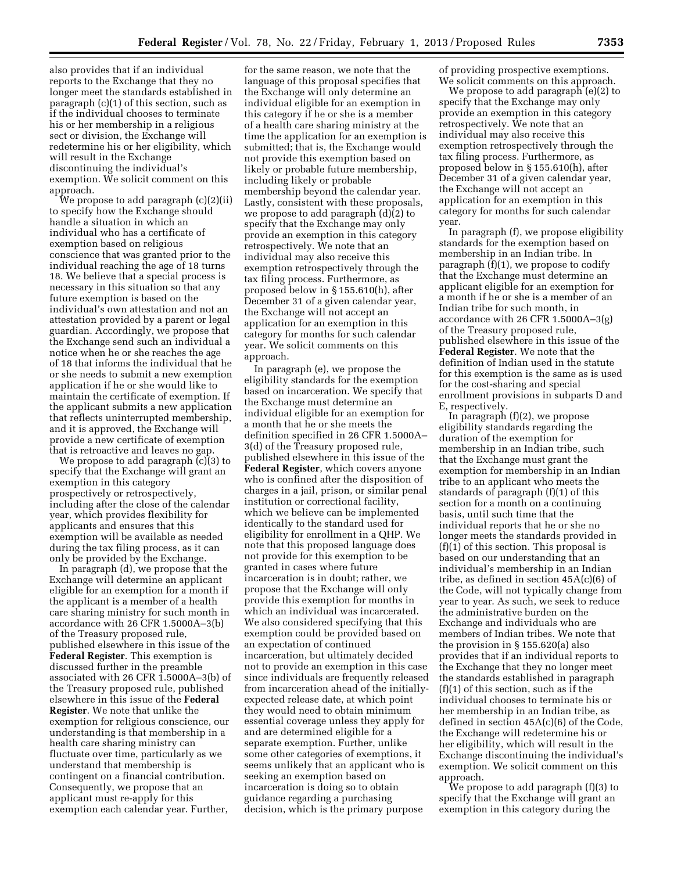also provides that if an individual reports to the Exchange that they no longer meet the standards established in paragraph (c)(1) of this section, such as if the individual chooses to terminate his or her membership in a religious sect or division, the Exchange will redetermine his or her eligibility, which will result in the Exchange discontinuing the individual's exemption. We solicit comment on this approach.

We propose to add paragraph (c)(2)(ii) to specify how the Exchange should handle a situation in which an individual who has a certificate of exemption based on religious conscience that was granted prior to the individual reaching the age of 18 turns 18. We believe that a special process is necessary in this situation so that any future exemption is based on the individual's own attestation and not an attestation provided by a parent or legal guardian. Accordingly, we propose that the Exchange send such an individual a notice when he or she reaches the age of 18 that informs the individual that he or she needs to submit a new exemption application if he or she would like to maintain the certificate of exemption. If the applicant submits a new application that reflects uninterrupted membership, and it is approved, the Exchange will provide a new certificate of exemption that is retroactive and leaves no gap.

We propose to add paragraph (c)(3) to specify that the Exchange will grant an exemption in this category prospectively or retrospectively, including after the close of the calendar year, which provides flexibility for applicants and ensures that this exemption will be available as needed during the tax filing process, as it can only be provided by the Exchange.

In paragraph (d), we propose that the Exchange will determine an applicant eligible for an exemption for a month if the applicant is a member of a health care sharing ministry for such month in accordance with 26 CFR 1.5000A–3(b) of the Treasury proposed rule, published elsewhere in this issue of the **Federal Register**. This exemption is discussed further in the preamble associated with 26 CFR 1.5000A–3(b) of the Treasury proposed rule, published elsewhere in this issue of the **Federal Register**. We note that unlike the exemption for religious conscience, our understanding is that membership in a health care sharing ministry can fluctuate over time, particularly as we understand that membership is contingent on a financial contribution. Consequently, we propose that an applicant must re-apply for this exemption each calendar year. Further,

for the same reason, we note that the language of this proposal specifies that the Exchange will only determine an individual eligible for an exemption in this category if he or she is a member of a health care sharing ministry at the time the application for an exemption is submitted; that is, the Exchange would not provide this exemption based on likely or probable future membership, including likely or probable membership beyond the calendar year. Lastly, consistent with these proposals, we propose to add paragraph (d)(2) to specify that the Exchange may only provide an exemption in this category retrospectively. We note that an individual may also receive this exemption retrospectively through the tax filing process. Furthermore, as proposed below in § 155.610(h), after December 31 of a given calendar year, the Exchange will not accept an application for an exemption in this category for months for such calendar year. We solicit comments on this approach.

In paragraph (e), we propose the eligibility standards for the exemption based on incarceration. We specify that the Exchange must determine an individual eligible for an exemption for a month that he or she meets the definition specified in 26 CFR 1.5000A– 3(d) of the Treasury proposed rule, published elsewhere in this issue of the **Federal Register**, which covers anyone who is confined after the disposition of charges in a jail, prison, or similar penal institution or correctional facility, which we believe can be implemented identically to the standard used for eligibility for enrollment in a QHP. We note that this proposed language does not provide for this exemption to be granted in cases where future incarceration is in doubt; rather, we propose that the Exchange will only provide this exemption for months in which an individual was incarcerated. We also considered specifying that this exemption could be provided based on an expectation of continued incarceration, but ultimately decided not to provide an exemption in this case since individuals are frequently released from incarceration ahead of the initiallyexpected release date, at which point they would need to obtain minimum essential coverage unless they apply for and are determined eligible for a separate exemption. Further, unlike some other categories of exemptions, it seems unlikely that an applicant who is seeking an exemption based on incarceration is doing so to obtain guidance regarding a purchasing decision, which is the primary purpose

of providing prospective exemptions. We solicit comments on this approach.

We propose to add paragraph (e)(2) to specify that the Exchange may only provide an exemption in this category retrospectively. We note that an individual may also receive this exemption retrospectively through the tax filing process. Furthermore, as proposed below in § 155.610(h), after December 31 of a given calendar year, the Exchange will not accept an application for an exemption in this category for months for such calendar year.

In paragraph (f), we propose eligibility standards for the exemption based on membership in an Indian tribe. In paragraph (f)(1), we propose to codify that the Exchange must determine an applicant eligible for an exemption for a month if he or she is a member of an Indian tribe for such month, in accordance with 26 CFR 1.5000A–3(g) of the Treasury proposed rule, published elsewhere in this issue of the **Federal Register**. We note that the definition of Indian used in the statute for this exemption is the same as is used for the cost-sharing and special enrollment provisions in subparts D and E, respectively.

In paragraph (f)(2), we propose eligibility standards regarding the duration of the exemption for membership in an Indian tribe, such that the Exchange must grant the exemption for membership in an Indian tribe to an applicant who meets the standards of paragraph (f)(1) of this section for a month on a continuing basis, until such time that the individual reports that he or she no longer meets the standards provided in (f)(1) of this section. This proposal is based on our understanding that an individual's membership in an Indian tribe, as defined in section  $45A(c)(6)$  of the Code, will not typically change from year to year. As such, we seek to reduce the administrative burden on the Exchange and individuals who are members of Indian tribes. We note that the provision in § 155.620(a) also provides that if an individual reports to the Exchange that they no longer meet the standards established in paragraph (f)(1) of this section, such as if the individual chooses to terminate his or her membership in an Indian tribe, as defined in section 45A(c)(6) of the Code, the Exchange will redetermine his or her eligibility, which will result in the Exchange discontinuing the individual's exemption. We solicit comment on this approach.

We propose to add paragraph (f)(3) to specify that the Exchange will grant an exemption in this category during the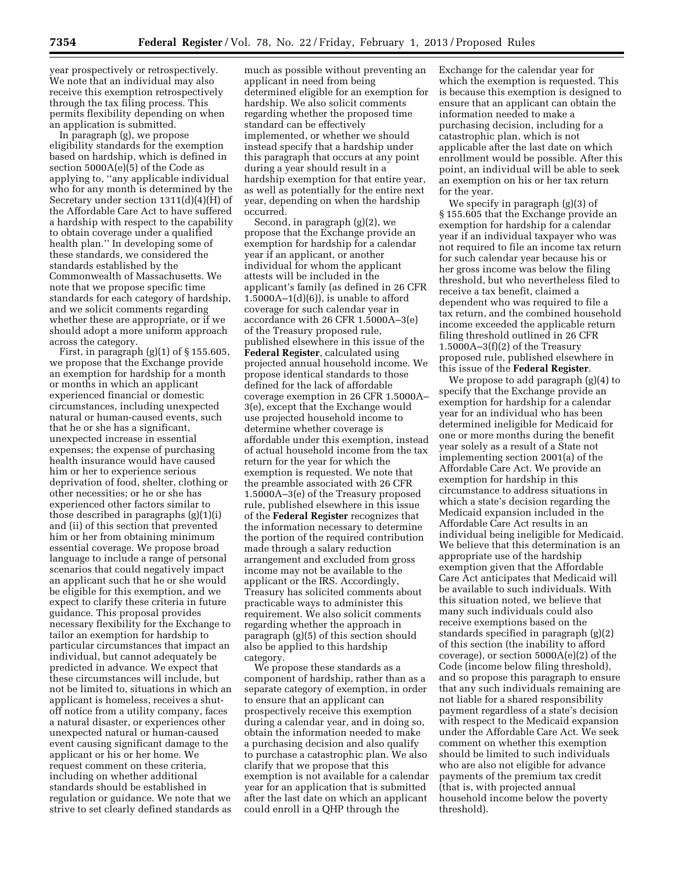year prospectively or retrospectively. We note that an individual may also receive this exemption retrospectively through the tax filing process. This permits flexibility depending on when an application is submitted.

In paragraph (g), we propose eligibility standards for the exemption based on hardship, which is defined in section 5000A(e)(5) of the Code as applying to, ''any applicable individual who for any month is determined by the Secretary under section 1311(d)(4)(H) of the Affordable Care Act to have suffered a hardship with respect to the capability to obtain coverage under a qualified health plan.'' In developing some of these standards, we considered the standards established by the Commonwealth of Massachusetts. We note that we propose specific time standards for each category of hardship, and we solicit comments regarding whether these are appropriate, or if we should adopt a more uniform approach across the category.

First, in paragraph  $(g)(1)$  of  $\S 155.605$ , we propose that the Exchange provide an exemption for hardship for a month or months in which an applicant experienced financial or domestic circumstances, including unexpected natural or human-caused events, such that he or she has a significant, unexpected increase in essential expenses; the expense of purchasing health insurance would have caused him or her to experience serious deprivation of food, shelter, clothing or other necessities; or he or she has experienced other factors similar to those described in paragraphs (g)(1)(i) and (ii) of this section that prevented him or her from obtaining minimum essential coverage. We propose broad language to include a range of personal scenarios that could negatively impact an applicant such that he or she would be eligible for this exemption, and we expect to clarify these criteria in future guidance. This proposal provides necessary flexibility for the Exchange to tailor an exemption for hardship to particular circumstances that impact an individual, but cannot adequately be predicted in advance. We expect that these circumstances will include, but not be limited to, situations in which an applicant is homeless, receives a shutoff notice from a utility company, faces a natural disaster, or experiences other unexpected natural or human-caused event causing significant damage to the applicant or his or her home. We request comment on these criteria, including on whether additional standards should be established in regulation or guidance. We note that we strive to set clearly defined standards as

much as possible without preventing an applicant in need from being determined eligible for an exemption for hardship. We also solicit comments regarding whether the proposed time standard can be effectively implemented, or whether we should instead specify that a hardship under this paragraph that occurs at any point during a year should result in a hardship exemption for that entire year, as well as potentially for the entire next year, depending on when the hardship occurred.

Second, in paragraph (g)(2), we propose that the Exchange provide an exemption for hardship for a calendar year if an applicant, or another individual for whom the applicant attests will be included in the applicant's family (as defined in 26 CFR  $1.5000A-1(d)(6)$ , is unable to afford coverage for such calendar year in accordance with 26 CFR 1.5000A–3(e) of the Treasury proposed rule, published elsewhere in this issue of the **Federal Register**, calculated using projected annual household income. We propose identical standards to those defined for the lack of affordable coverage exemption in 26 CFR 1.5000A– 3(e), except that the Exchange would use projected household income to determine whether coverage is affordable under this exemption, instead of actual household income from the tax return for the year for which the exemption is requested. We note that the preamble associated with 26 CFR 1.5000A–3(e) of the Treasury proposed rule, published elsewhere in this issue of the **Federal Register** recognizes that the information necessary to determine the portion of the required contribution made through a salary reduction arrangement and excluded from gross income may not be available to the applicant or the IRS. Accordingly, Treasury has solicited comments about practicable ways to administer this requirement. We also solicit comments regarding whether the approach in paragraph (g)(5) of this section should also be applied to this hardship category.

We propose these standards as a component of hardship, rather than as a separate category of exemption, in order to ensure that an applicant can prospectively receive this exemption during a calendar year, and in doing so, obtain the information needed to make a purchasing decision and also qualify to purchase a catastrophic plan. We also clarify that we propose that this exemption is not available for a calendar year for an application that is submitted after the last date on which an applicant could enroll in a QHP through the

Exchange for the calendar year for which the exemption is requested. This is because this exemption is designed to ensure that an applicant can obtain the information needed to make a purchasing decision, including for a catastrophic plan, which is not applicable after the last date on which enrollment would be possible. After this point, an individual will be able to seek an exemption on his or her tax return for the year.

We specify in paragraph (g)(3) of § 155.605 that the Exchange provide an exemption for hardship for a calendar year if an individual taxpayer who was not required to file an income tax return for such calendar year because his or her gross income was below the filing threshold, but who nevertheless filed to receive a tax benefit, claimed a dependent who was required to file a tax return, and the combined household income exceeded the applicable return filing threshold outlined in 26 CFR  $1.5000A-3(f)(2)$  of the Treasury proposed rule, published elsewhere in this issue of the **Federal Register**.

We propose to add paragraph (g)(4) to specify that the Exchange provide an exemption for hardship for a calendar year for an individual who has been determined ineligible for Medicaid for one or more months during the benefit year solely as a result of a State not implementing section 2001(a) of the Affordable Care Act. We provide an exemption for hardship in this circumstance to address situations in which a state's decision regarding the Medicaid expansion included in the Affordable Care Act results in an individual being ineligible for Medicaid. We believe that this determination is an appropriate use of the hardship exemption given that the Affordable Care Act anticipates that Medicaid will be available to such individuals. With this situation noted, we believe that many such individuals could also receive exemptions based on the standards specified in paragraph (g)(2) of this section (the inability to afford coverage), or section 5000A(e)(2) of the Code (income below filing threshold), and so propose this paragraph to ensure that any such individuals remaining are not liable for a shared responsibility payment regardless of a state's decision with respect to the Medicaid expansion under the Affordable Care Act. We seek comment on whether this exemption should be limited to such individuals who are also not eligible for advance payments of the premium tax credit (that is, with projected annual household income below the poverty threshold).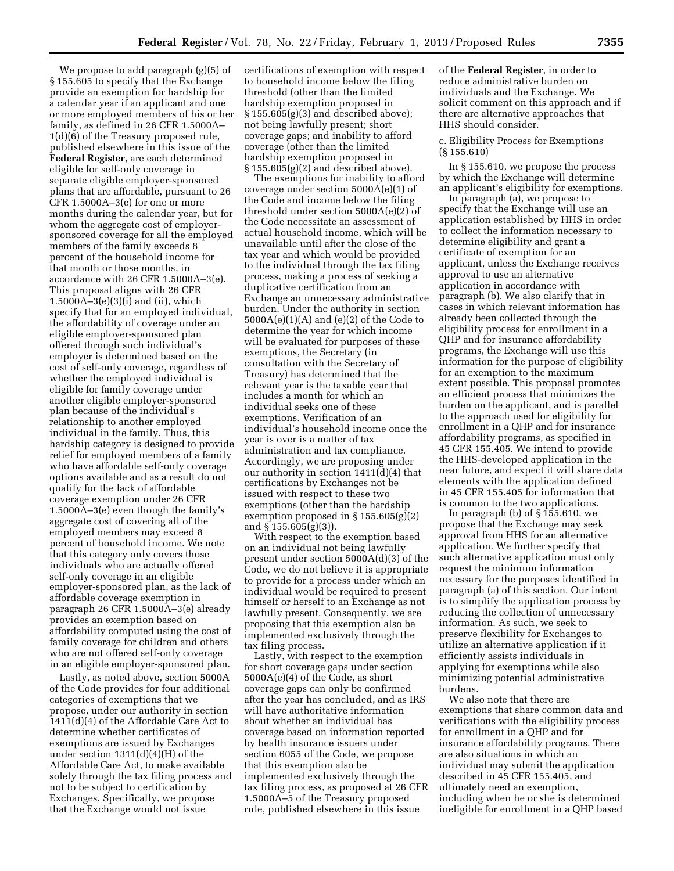We propose to add paragraph (g)(5) of § 155.605 to specify that the Exchange provide an exemption for hardship for a calendar year if an applicant and one or more employed members of his or her family, as defined in 26 CFR 1.5000A– 1(d)(6) of the Treasury proposed rule, published elsewhere in this issue of the **Federal Register**, are each determined eligible for self-only coverage in separate eligible employer-sponsored plans that are affordable, pursuant to 26 CFR 1.5000A–3(e) for one or more months during the calendar year, but for whom the aggregate cost of employersponsored coverage for all the employed members of the family exceeds 8 percent of the household income for that month or those months, in accordance with 26 CFR 1.5000A–3(e). This proposal aligns with 26 CFR 1.5000A–3(e)(3)(i) and (ii), which specify that for an employed individual, the affordability of coverage under an eligible employer-sponsored plan offered through such individual's employer is determined based on the cost of self-only coverage, regardless of whether the employed individual is eligible for family coverage under another eligible employer-sponsored plan because of the individual's relationship to another employed individual in the family. Thus, this hardship category is designed to provide relief for employed members of a family who have affordable self-only coverage options available and as a result do not qualify for the lack of affordable coverage exemption under 26 CFR 1.5000A–3(e) even though the family's aggregate cost of covering all of the employed members may exceed 8 percent of household income. We note that this category only covers those individuals who are actually offered self-only coverage in an eligible employer-sponsored plan, as the lack of affordable coverage exemption in paragraph 26 CFR 1.5000A–3(e) already provides an exemption based on affordability computed using the cost of family coverage for children and others who are not offered self-only coverage in an eligible employer-sponsored plan.

Lastly, as noted above, section 5000A of the Code provides for four additional categories of exemptions that we propose, under our authority in section 1411(d)(4) of the Affordable Care Act to determine whether certificates of exemptions are issued by Exchanges under section 1311(d)(4)(H) of the Affordable Care Act, to make available solely through the tax filing process and not to be subject to certification by Exchanges. Specifically, we propose that the Exchange would not issue

certifications of exemption with respect to household income below the filing threshold (other than the limited hardship exemption proposed in § 155.605(g)(3) and described above); not being lawfully present; short coverage gaps; and inability to afford coverage (other than the limited hardship exemption proposed in § 155.605(g)(2) and described above).

The exemptions for inability to afford coverage under section 5000A(e)(1) of the Code and income below the filing threshold under section 5000A(e)(2) of the Code necessitate an assessment of actual household income, which will be unavailable until after the close of the tax year and which would be provided to the individual through the tax filing process, making a process of seeking a duplicative certification from an Exchange an unnecessary administrative burden. Under the authority in section  $5000A(e)(1)(A)$  and  $(e)(2)$  of the Code to determine the year for which income will be evaluated for purposes of these exemptions, the Secretary (in consultation with the Secretary of Treasury) has determined that the relevant year is the taxable year that includes a month for which an individual seeks one of these exemptions. Verification of an individual's household income once the year is over is a matter of tax administration and tax compliance. Accordingly, we are proposing under our authority in section 1411(d)(4) that certifications by Exchanges not be issued with respect to these two exemptions (other than the hardship exemption proposed in § 155.605(g)(2) and § 155.605(g)(3)).

With respect to the exemption based on an individual not being lawfully present under section 5000A(d)(3) of the Code, we do not believe it is appropriate to provide for a process under which an individual would be required to present himself or herself to an Exchange as not lawfully present. Consequently, we are proposing that this exemption also be implemented exclusively through the tax filing process.

Lastly, with respect to the exemption for short coverage gaps under section 5000A(e)(4) of the Code, as short coverage gaps can only be confirmed after the year has concluded, and as IRS will have authoritative information about whether an individual has coverage based on information reported by health insurance issuers under section 6055 of the Code, we propose that this exemption also be implemented exclusively through the tax filing process, as proposed at 26 CFR 1.5000A–5 of the Treasury proposed rule, published elsewhere in this issue

of the **Federal Register**, in order to reduce administrative burden on individuals and the Exchange. We solicit comment on this approach and if there are alternative approaches that HHS should consider.

#### c. Eligibility Process for Exemptions (§ 155.610)

In § 155.610, we propose the process by which the Exchange will determine an applicant's eligibility for exemptions.

In paragraph (a), we propose to specify that the Exchange will use an application established by HHS in order to collect the information necessary to determine eligibility and grant a certificate of exemption for an applicant, unless the Exchange receives approval to use an alternative application in accordance with paragraph (b). We also clarify that in cases in which relevant information has already been collected through the eligibility process for enrollment in a QHP and for insurance affordability programs, the Exchange will use this information for the purpose of eligibility for an exemption to the maximum extent possible. This proposal promotes an efficient process that minimizes the burden on the applicant, and is parallel to the approach used for eligibility for enrollment in a QHP and for insurance affordability programs, as specified in 45 CFR 155.405. We intend to provide the HHS-developed application in the near future, and expect it will share data elements with the application defined in 45 CFR 155.405 for information that is common to the two applications.

In paragraph (b) of  $\S$  155.610, we propose that the Exchange may seek approval from HHS for an alternative application. We further specify that such alternative application must only request the minimum information necessary for the purposes identified in paragraph (a) of this section. Our intent is to simplify the application process by reducing the collection of unnecessary information. As such, we seek to preserve flexibility for Exchanges to utilize an alternative application if it efficiently assists individuals in applying for exemptions while also minimizing potential administrative burdens.

We also note that there are exemptions that share common data and verifications with the eligibility process for enrollment in a QHP and for insurance affordability programs. There are also situations in which an individual may submit the application described in 45 CFR 155.405, and ultimately need an exemption, including when he or she is determined ineligible for enrollment in a QHP based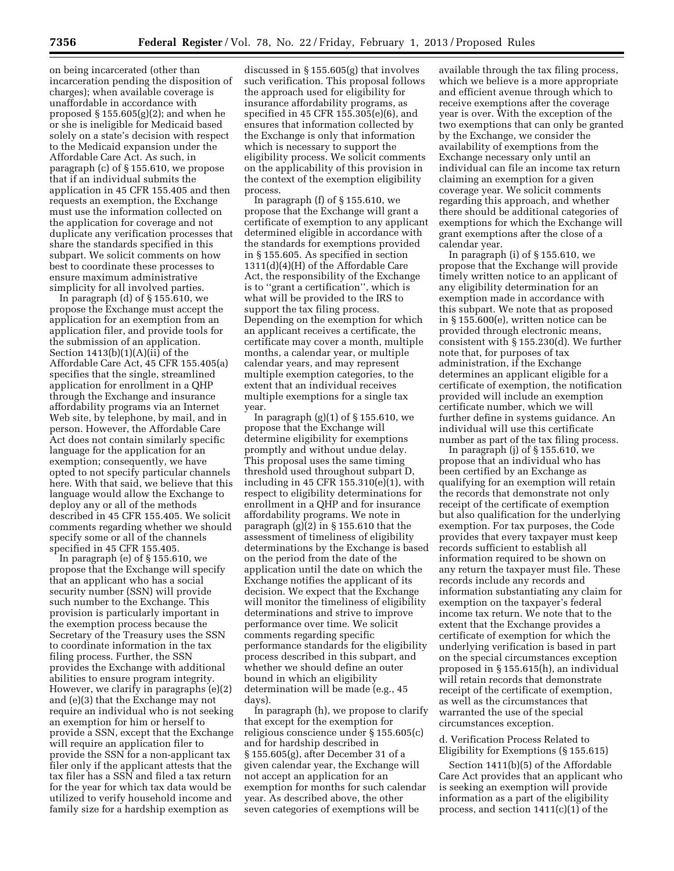on being incarcerated (other than incarceration pending the disposition of charges); when available coverage is unaffordable in accordance with proposed § 155.605(g)(2); and when he or she is ineligible for Medicaid based solely on a state's decision with respect to the Medicaid expansion under the Affordable Care Act. As such, in paragraph (c) of § 155.610, we propose that if an individual submits the application in 45 CFR 155.405 and then requests an exemption, the Exchange must use the information collected on the application for coverage and not duplicate any verification processes that share the standards specified in this subpart. We solicit comments on how best to coordinate these processes to ensure maximum administrative simplicity for all involved parties.

In paragraph (d) of § 155.610, we propose the Exchange must accept the application for an exemption from an application filer, and provide tools for the submission of an application. Section 1413(b)(1)(A)(ii) of the Affordable Care Act, 45 CFR 155.405(a) specifies that the single, streamlined application for enrollment in a QHP through the Exchange and insurance affordability programs via an Internet Web site, by telephone, by mail, and in person. However, the Affordable Care Act does not contain similarly specific language for the application for an exemption; consequently, we have opted to not specify particular channels here. With that said, we believe that this language would allow the Exchange to deploy any or all of the methods described in 45 CFR 155.405. We solicit comments regarding whether we should specify some or all of the channels specified in 45 CFR 155.405.

In paragraph (e) of § 155.610, we propose that the Exchange will specify that an applicant who has a social security number (SSN) will provide such number to the Exchange. This provision is particularly important in the exemption process because the Secretary of the Treasury uses the SSN to coordinate information in the tax filing process. Further, the SSN provides the Exchange with additional abilities to ensure program integrity. However, we clarify in paragraphs (e)(2) and (e)(3) that the Exchange may not require an individual who is not seeking an exemption for him or herself to provide a SSN, except that the Exchange will require an application filer to provide the SSN for a non-applicant tax filer only if the applicant attests that the tax filer has a SSN and filed a tax return for the year for which tax data would be utilized to verify household income and family size for a hardship exemption as

discussed in § 155.605(g) that involves such verification. This proposal follows the approach used for eligibility for insurance affordability programs, as specified in 45 CFR 155.305(e)(6), and ensures that information collected by the Exchange is only that information which is necessary to support the eligibility process. We solicit comments on the applicability of this provision in the context of the exemption eligibility process.

In paragraph (f) of  $\S$  155.610, we propose that the Exchange will grant a certificate of exemption to any applicant determined eligible in accordance with the standards for exemptions provided in § 155.605. As specified in section 1311(d)(4)(H) of the Affordable Care Act, the responsibility of the Exchange is to ''grant a certification'', which is what will be provided to the IRS to support the tax filing process. Depending on the exemption for which an applicant receives a certificate, the certificate may cover a month, multiple months, a calendar year, or multiple calendar years, and may represent multiple exemption categories, to the extent that an individual receives multiple exemptions for a single tax year.

In paragraph  $(g)(1)$  of  $\S 155.610$ , we propose that the Exchange will determine eligibility for exemptions promptly and without undue delay. This proposal uses the same timing threshold used throughout subpart D, including in 45 CFR 155.310(e)(1), with respect to eligibility determinations for enrollment in a QHP and for insurance affordability programs. We note in paragraph (g)(2) in § 155.610 that the assessment of timeliness of eligibility determinations by the Exchange is based on the period from the date of the application until the date on which the Exchange notifies the applicant of its decision. We expect that the Exchange will monitor the timeliness of eligibility determinations and strive to improve performance over time. We solicit comments regarding specific performance standards for the eligibility process described in this subpart, and whether we should define an outer bound in which an eligibility determination will be made (e.g., 45 days).

In paragraph (h), we propose to clarify that except for the exemption for religious conscience under § 155.605(c) and for hardship described in § 155.605(g), after December 31 of a given calendar year, the Exchange will not accept an application for an exemption for months for such calendar year. As described above, the other seven categories of exemptions will be

available through the tax filing process, which we believe is a more appropriate and efficient avenue through which to receive exemptions after the coverage year is over. With the exception of the two exemptions that can only be granted by the Exchange, we consider the availability of exemptions from the Exchange necessary only until an individual can file an income tax return claiming an exemption for a given coverage year. We solicit comments regarding this approach, and whether there should be additional categories of exemptions for which the Exchange will grant exemptions after the close of a calendar year.

In paragraph (i) of § 155.610, we propose that the Exchange will provide timely written notice to an applicant of any eligibility determination for an exemption made in accordance with this subpart. We note that as proposed in § 155.600(e), written notice can be provided through electronic means, consistent with § 155.230(d). We further note that, for purposes of tax administration, if the Exchange determines an applicant eligible for a certificate of exemption, the notification provided will include an exemption certificate number, which we will further define in systems guidance. An individual will use this certificate number as part of the tax filing process.

In paragraph (j) of § 155.610, we propose that an individual who has been certified by an Exchange as qualifying for an exemption will retain the records that demonstrate not only receipt of the certificate of exemption but also qualification for the underlying exemption. For tax purposes, the Code provides that every taxpayer must keep records sufficient to establish all information required to be shown on any return the taxpayer must file. These records include any records and information substantiating any claim for exemption on the taxpayer's federal income tax return. We note that to the extent that the Exchange provides a certificate of exemption for which the underlying verification is based in part on the special circumstances exception proposed in § 155.615(h), an individual will retain records that demonstrate receipt of the certificate of exemption, as well as the circumstances that warranted the use of the special circumstances exception.

d. Verification Process Related to Eligibility for Exemptions (§ 155.615)

Section 1411(b)(5) of the Affordable Care Act provides that an applicant who is seeking an exemption will provide information as a part of the eligibility process, and section 1411(c)(1) of the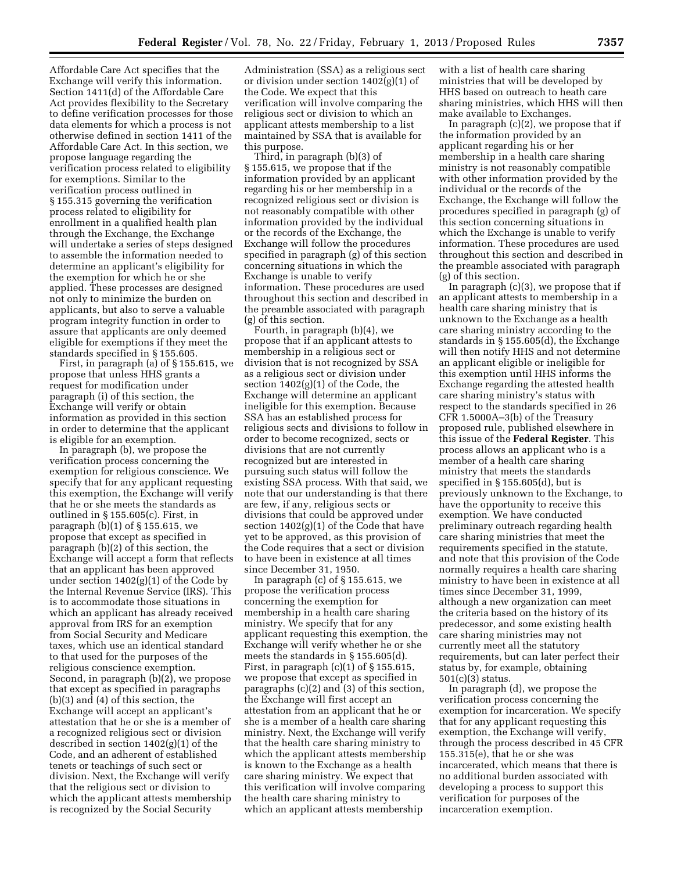Affordable Care Act specifies that the Exchange will verify this information. Section 1411(d) of the Affordable Care Act provides flexibility to the Secretary to define verification processes for those data elements for which a process is not otherwise defined in section 1411 of the Affordable Care Act. In this section, we propose language regarding the verification process related to eligibility for exemptions. Similar to the verification process outlined in § 155.315 governing the verification process related to eligibility for enrollment in a qualified health plan through the Exchange, the Exchange will undertake a series of steps designed to assemble the information needed to determine an applicant's eligibility for the exemption for which he or she applied. These processes are designed not only to minimize the burden on applicants, but also to serve a valuable program integrity function in order to assure that applicants are only deemed eligible for exemptions if they meet the standards specified in § 155.605.

First, in paragraph (a) of § 155.615, we propose that unless HHS grants a request for modification under paragraph (i) of this section, the Exchange will verify or obtain information as provided in this section in order to determine that the applicant is eligible for an exemption.

In paragraph (b), we propose the verification process concerning the exemption for religious conscience. We specify that for any applicant requesting this exemption, the Exchange will verify that he or she meets the standards as outlined in § 155.605(c). First, in paragraph  $(b)(1)$  of  $\S 155.615$ , we propose that except as specified in paragraph (b)(2) of this section, the Exchange will accept a form that reflects that an applicant has been approved under section 1402(g)(1) of the Code by the Internal Revenue Service (IRS). This is to accommodate those situations in which an applicant has already received approval from IRS for an exemption from Social Security and Medicare taxes, which use an identical standard to that used for the purposes of the religious conscience exemption. Second, in paragraph (b)(2), we propose that except as specified in paragraphs (b)(3) and (4) of this section, the Exchange will accept an applicant's attestation that he or she is a member of a recognized religious sect or division described in section 1402(g)(1) of the Code, and an adherent of established tenets or teachings of such sect or division. Next, the Exchange will verify that the religious sect or division to which the applicant attests membership is recognized by the Social Security

Administration (SSA) as a religious sect or division under section 1402(g)(1) of the Code. We expect that this verification will involve comparing the religious sect or division to which an applicant attests membership to a list maintained by SSA that is available for this purpose.

Third, in paragraph (b)(3) of § 155.615, we propose that if the information provided by an applicant regarding his or her membership in a recognized religious sect or division is not reasonably compatible with other information provided by the individual or the records of the Exchange, the Exchange will follow the procedures specified in paragraph (g) of this section concerning situations in which the Exchange is unable to verify information. These procedures are used throughout this section and described in the preamble associated with paragraph (g) of this section.

Fourth, in paragraph (b)(4), we propose that if an applicant attests to membership in a religious sect or division that is not recognized by SSA as a religious sect or division under section 1402(g)(1) of the Code, the Exchange will determine an applicant ineligible for this exemption. Because SSA has an established process for religious sects and divisions to follow in order to become recognized, sects or divisions that are not currently recognized but are interested in pursuing such status will follow the existing SSA process. With that said, we note that our understanding is that there are few, if any, religious sects or divisions that could be approved under section 1402(g)(1) of the Code that have yet to be approved, as this provision of the Code requires that a sect or division to have been in existence at all times since December 31, 1950.

In paragraph (c) of § 155.615, we propose the verification process concerning the exemption for membership in a health care sharing ministry. We specify that for any applicant requesting this exemption, the Exchange will verify whether he or she meets the standards in § 155.605(d). First, in paragraph  $(c)(1)$  of  $\S 155.615$ , we propose that except as specified in paragraphs (c)(2) and (3) of this section, the Exchange will first accept an attestation from an applicant that he or she is a member of a health care sharing ministry. Next, the Exchange will verify that the health care sharing ministry to which the applicant attests membership is known to the Exchange as a health care sharing ministry. We expect that this verification will involve comparing the health care sharing ministry to which an applicant attests membership

with a list of health care sharing ministries that will be developed by HHS based on outreach to heath care sharing ministries, which HHS will then make available to Exchanges.

In paragraph (c)(2), we propose that if the information provided by an applicant regarding his or her membership in a health care sharing ministry is not reasonably compatible with other information provided by the individual or the records of the Exchange, the Exchange will follow the procedures specified in paragraph (g) of this section concerning situations in which the Exchange is unable to verify information. These procedures are used throughout this section and described in the preamble associated with paragraph (g) of this section.

In paragraph (c)(3), we propose that if an applicant attests to membership in a health care sharing ministry that is unknown to the Exchange as a health care sharing ministry according to the standards in § 155.605(d), the Exchange will then notify HHS and not determine an applicant eligible or ineligible for this exemption until HHS informs the Exchange regarding the attested health care sharing ministry's status with respect to the standards specified in 26 CFR 1.5000A–3(b) of the Treasury proposed rule, published elsewhere in this issue of the **Federal Register**. This process allows an applicant who is a member of a health care sharing ministry that meets the standards specified in § 155.605(d), but is previously unknown to the Exchange, to have the opportunity to receive this exemption. We have conducted preliminary outreach regarding health care sharing ministries that meet the requirements specified in the statute, and note that this provision of the Code normally requires a health care sharing ministry to have been in existence at all times since December 31, 1999, although a new organization can meet the criteria based on the history of its predecessor, and some existing health care sharing ministries may not currently meet all the statutory requirements, but can later perfect their status by, for example, obtaining 501(c)(3) status.

In paragraph (d), we propose the verification process concerning the exemption for incarceration. We specify that for any applicant requesting this exemption, the Exchange will verify, through the process described in 45 CFR 155.315(e), that he or she was incarcerated, which means that there is no additional burden associated with developing a process to support this verification for purposes of the incarceration exemption.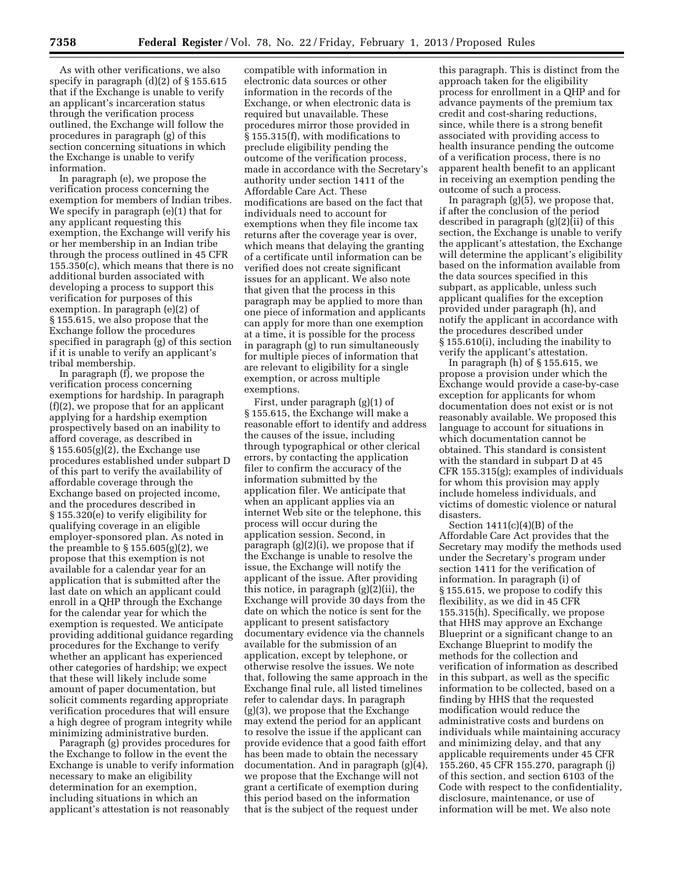As with other verifications, we also specify in paragraph (d)(2) of § 155.615 that if the Exchange is unable to verify an applicant's incarceration status through the verification process outlined, the Exchange will follow the procedures in paragraph (g) of this section concerning situations in which the Exchange is unable to verify information.

In paragraph (e), we propose the verification process concerning the exemption for members of Indian tribes. We specify in paragraph (e)(1) that for any applicant requesting this exemption, the Exchange will verify his or her membership in an Indian tribe through the process outlined in 45 CFR 155.350(c), which means that there is no additional burden associated with developing a process to support this verification for purposes of this exemption. In paragraph (e)(2) of § 155.615, we also propose that the Exchange follow the procedures specified in paragraph (g) of this section if it is unable to verify an applicant's tribal membership.

In paragraph (f), we propose the verification process concerning exemptions for hardship. In paragraph (f)(2), we propose that for an applicant applying for a hardship exemption prospectively based on an inability to afford coverage, as described in  $\S 155.605(g)(2)$ , the Exchange use procedures established under subpart D of this part to verify the availability of affordable coverage through the Exchange based on projected income, and the procedures described in § 155.320(e) to verify eligibility for qualifying coverage in an eligible employer-sponsored plan. As noted in the preamble to  $\S 155.605(g)(2)$ , we propose that this exemption is not available for a calendar year for an application that is submitted after the last date on which an applicant could enroll in a QHP through the Exchange for the calendar year for which the exemption is requested. We anticipate providing additional guidance regarding procedures for the Exchange to verify whether an applicant has experienced other categories of hardship; we expect that these will likely include some amount of paper documentation, but solicit comments regarding appropriate verification procedures that will ensure a high degree of program integrity while minimizing administrative burden.

Paragraph (g) provides procedures for the Exchange to follow in the event the Exchange is unable to verify information necessary to make an eligibility determination for an exemption, including situations in which an applicant's attestation is not reasonably

compatible with information in electronic data sources or other information in the records of the Exchange, or when electronic data is required but unavailable. These procedures mirror those provided in § 155.315(f), with modifications to preclude eligibility pending the outcome of the verification process, made in accordance with the Secretary's authority under section 1411 of the Affordable Care Act. These modifications are based on the fact that individuals need to account for exemptions when they file income tax returns after the coverage year is over, which means that delaying the granting of a certificate until information can be verified does not create significant issues for an applicant. We also note that given that the process in this paragraph may be applied to more than one piece of information and applicants can apply for more than one exemption at a time, it is possible for the process in paragraph (g) to run simultaneously for multiple pieces of information that are relevant to eligibility for a single exemption, or across multiple exemptions.

First, under paragraph (g)(1) of § 155.615, the Exchange will make a reasonable effort to identify and address the causes of the issue, including through typographical or other clerical errors, by contacting the application filer to confirm the accuracy of the information submitted by the application filer. We anticipate that when an applicant applies via an internet Web site or the telephone, this process will occur during the application session. Second, in paragraph  $(g)(2)(i)$ , we propose that if the Exchange is unable to resolve the issue, the Exchange will notify the applicant of the issue. After providing this notice, in paragraph (g)(2)(ii), the Exchange will provide 30 days from the date on which the notice is sent for the applicant to present satisfactory documentary evidence via the channels available for the submission of an application, except by telephone, or otherwise resolve the issues. We note that, following the same approach in the Exchange final rule, all listed timelines refer to calendar days. In paragraph (g)(3), we propose that the Exchange may extend the period for an applicant to resolve the issue if the applicant can provide evidence that a good faith effort has been made to obtain the necessary documentation. And in paragraph (g)(4), we propose that the Exchange will not grant a certificate of exemption during this period based on the information that is the subject of the request under

this paragraph. This is distinct from the approach taken for the eligibility process for enrollment in a QHP and for advance payments of the premium tax credit and cost-sharing reductions, since, while there is a strong benefit associated with providing access to health insurance pending the outcome of a verification process, there is no apparent health benefit to an applicant in receiving an exemption pending the outcome of such a process.

In paragraph (g)(5), we propose that, if after the conclusion of the period described in paragraph (g)(2)(ii) of this section, the Exchange is unable to verify the applicant's attestation, the Exchange will determine the applicant's eligibility based on the information available from the data sources specified in this subpart, as applicable, unless such applicant qualifies for the exception provided under paragraph (h), and notify the applicant in accordance with the procedures described under § 155.610(i), including the inability to verify the applicant's attestation.

In paragraph (h) of § 155.615, we propose a provision under which the Exchange would provide a case-by-case exception for applicants for whom documentation does not exist or is not reasonably available. We proposed this language to account for situations in which documentation cannot be obtained. This standard is consistent with the standard in subpart D at 45 CFR 155.315(g); examples of individuals for whom this provision may apply include homeless individuals, and victims of domestic violence or natural disasters.

Section  $1411(c)(4)(B)$  of the Affordable Care Act provides that the Secretary may modify the methods used under the Secretary's program under section 1411 for the verification of information. In paragraph (i) of § 155.615, we propose to codify this flexibility, as we did in 45 CFR 155.315(h). Specifically, we propose that HHS may approve an Exchange Blueprint or a significant change to an Exchange Blueprint to modify the methods for the collection and verification of information as described in this subpart, as well as the specific information to be collected, based on a finding by HHS that the requested modification would reduce the administrative costs and burdens on individuals while maintaining accuracy and minimizing delay, and that any applicable requirements under 45 CFR 155.260, 45 CFR 155.270, paragraph (j) of this section, and section 6103 of the Code with respect to the confidentiality, disclosure, maintenance, or use of information will be met. We also note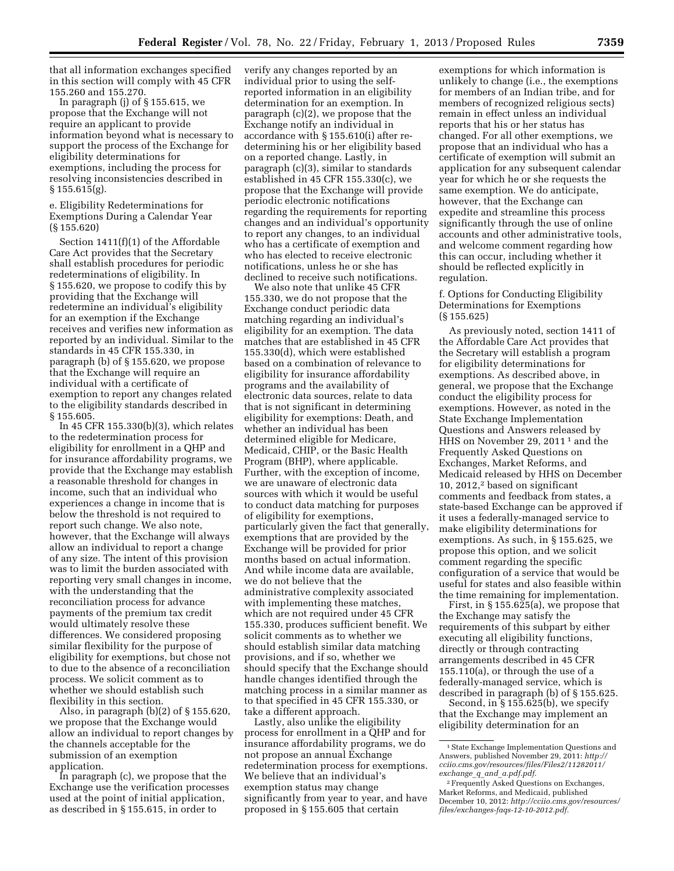that all information exchanges specified in this section will comply with 45 CFR 155.260 and 155.270.

In paragraph (j) of § 155.615, we propose that the Exchange will not require an applicant to provide information beyond what is necessary to support the process of the Exchange for eligibility determinations for exemptions, including the process for resolving inconsistencies described in § 155.615(g).

# e. Eligibility Redeterminations for Exemptions During a Calendar Year (§ 155.620)

Section 1411(f)(1) of the Affordable Care Act provides that the Secretary shall establish procedures for periodic redeterminations of eligibility. In § 155.620, we propose to codify this by providing that the Exchange will redetermine an individual's eligibility for an exemption if the Exchange receives and verifies new information as reported by an individual. Similar to the standards in 45 CFR 155.330, in paragraph (b) of § 155.620, we propose that the Exchange will require an individual with a certificate of exemption to report any changes related to the eligibility standards described in § 155.605.

In 45 CFR 155.330(b)(3), which relates to the redetermination process for eligibility for enrollment in a QHP and for insurance affordability programs, we provide that the Exchange may establish a reasonable threshold for changes in income, such that an individual who experiences a change in income that is below the threshold is not required to report such change. We also note, however, that the Exchange will always allow an individual to report a change of any size. The intent of this provision was to limit the burden associated with reporting very small changes in income, with the understanding that the reconciliation process for advance payments of the premium tax credit would ultimately resolve these differences. We considered proposing similar flexibility for the purpose of eligibility for exemptions, but chose not to due to the absence of a reconciliation process. We solicit comment as to whether we should establish such flexibility in this section.

Also, in paragraph (b)(2) of § 155.620, we propose that the Exchange would allow an individual to report changes by the channels acceptable for the submission of an exemption application.

In paragraph (c), we propose that the Exchange use the verification processes used at the point of initial application, as described in § 155.615, in order to

verify any changes reported by an individual prior to using the selfreported information in an eligibility determination for an exemption. In paragraph (c)(2), we propose that the Exchange notify an individual in accordance with § 155.610(i) after redetermining his or her eligibility based on a reported change. Lastly, in paragraph (c)(3), similar to standards established in 45 CFR 155.330(c), we propose that the Exchange will provide periodic electronic notifications regarding the requirements for reporting changes and an individual's opportunity to report any changes, to an individual who has a certificate of exemption and who has elected to receive electronic notifications, unless he or she has declined to receive such notifications.

We also note that unlike 45 CFR 155.330, we do not propose that the Exchange conduct periodic data matching regarding an individual's eligibility for an exemption. The data matches that are established in 45 CFR 155.330(d), which were established based on a combination of relevance to eligibility for insurance affordability programs and the availability of electronic data sources, relate to data that is not significant in determining eligibility for exemptions: Death, and whether an individual has been determined eligible for Medicare, Medicaid, CHIP, or the Basic Health Program (BHP), where applicable. Further, with the exception of income, we are unaware of electronic data sources with which it would be useful to conduct data matching for purposes of eligibility for exemptions, particularly given the fact that generally, exemptions that are provided by the Exchange will be provided for prior months based on actual information. And while income data are available, we do not believe that the administrative complexity associated with implementing these matches, which are not required under 45 CFR 155.330, produces sufficient benefit. We solicit comments as to whether we should establish similar data matching provisions, and if so, whether we should specify that the Exchange should handle changes identified through the matching process in a similar manner as to that specified in 45 CFR 155.330, or take a different approach.

Lastly, also unlike the eligibility process for enrollment in a QHP and for insurance affordability programs, we do not propose an annual Exchange redetermination process for exemptions. We believe that an individual's exemption status may change significantly from year to year, and have proposed in § 155.605 that certain

exemptions for which information is unlikely to change (i.e., the exemptions for members of an Indian tribe, and for members of recognized religious sects) remain in effect unless an individual reports that his or her status has changed. For all other exemptions, we propose that an individual who has a certificate of exemption will submit an application for any subsequent calendar year for which he or she requests the same exemption. We do anticipate, however, that the Exchange can expedite and streamline this process significantly through the use of online accounts and other administrative tools, and welcome comment regarding how this can occur, including whether it should be reflected explicitly in regulation.

### f. Options for Conducting Eligibility Determinations for Exemptions (§ 155.625)

As previously noted, section 1411 of the Affordable Care Act provides that the Secretary will establish a program for eligibility determinations for exemptions. As described above, in general, we propose that the Exchange conduct the eligibility process for exemptions. However, as noted in the State Exchange Implementation Questions and Answers released by HHS on November 29, 2011<sup>1</sup> and the Frequently Asked Questions on Exchanges, Market Reforms, and Medicaid released by HHS on December 10, 2012,2 based on significant comments and feedback from states, a state-based Exchange can be approved if it uses a federally-managed service to make eligibility determinations for exemptions. As such, in § 155.625, we propose this option, and we solicit comment regarding the specific configuration of a service that would be useful for states and also feasible within the time remaining for implementation.

First, in § 155.625(a), we propose that the Exchange may satisfy the requirements of this subpart by either executing all eligibility functions, directly or through contracting arrangements described in 45 CFR 155.110(a), or through the use of a federally-managed service, which is described in paragraph (b) of § 155.625.

Second, in § 155.625(b), we specify that the Exchange may implement an eligibility determination for an

<sup>1</sup>State Exchange Implementation Questions and Answers, published November 29, 2011: *[http://](http://cciio.cms.gov/resources/files/Files2/11282011/exchange_q_and_a.pdf.pdf)  [cciio.cms.gov/resources/files/Files2/11282011/](http://cciio.cms.gov/resources/files/Files2/11282011/exchange_q_and_a.pdf.pdf) exchange*\_*q*\_*and*\_*[a.pdf.pdf.](http://cciio.cms.gov/resources/files/Files2/11282011/exchange_q_and_a.pdf.pdf)* 

<sup>2</sup>Frequently Asked Questions on Exchanges, Market Reforms, and Medicaid, published December 10, 2012: *[http://cciio.cms.gov/resources/](http://cciio.cms.gov/resources/files/exchanges-faqs-12-10-2012.pdf) [files/exchanges-faqs-12-10-2012.pdf.](http://cciio.cms.gov/resources/files/exchanges-faqs-12-10-2012.pdf)*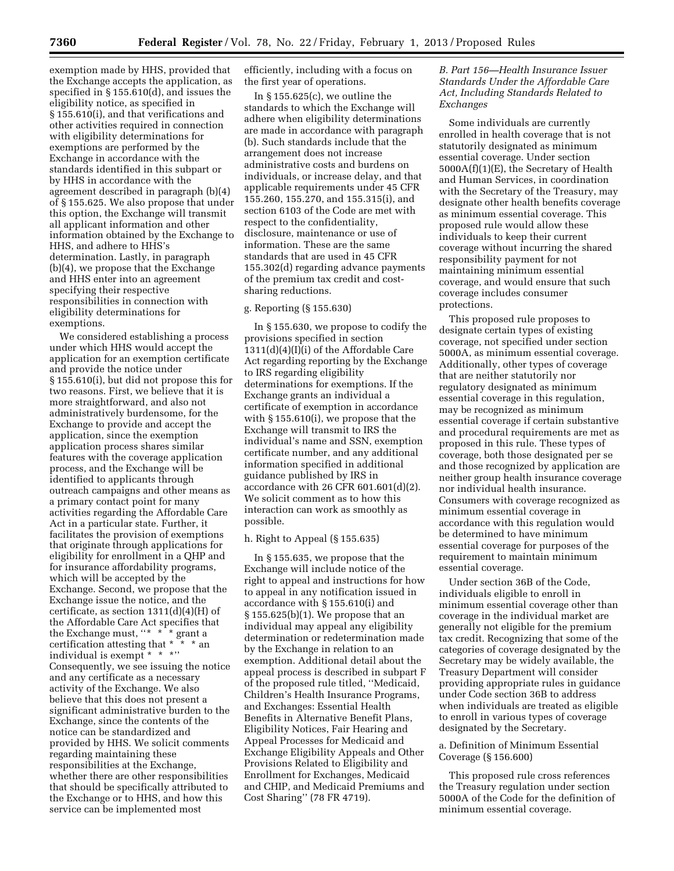exemption made by HHS, provided that the Exchange accepts the application, as specified in § 155.610(d), and issues the eligibility notice, as specified in § 155.610(i), and that verifications and other activities required in connection with eligibility determinations for exemptions are performed by the Exchange in accordance with the standards identified in this subpart or by HHS in accordance with the agreement described in paragraph (b)(4) of § 155.625. We also propose that under this option, the Exchange will transmit all applicant information and other information obtained by the Exchange to HHS, and adhere to HHS's determination. Lastly, in paragraph (b)(4), we propose that the Exchange and HHS enter into an agreement specifying their respective responsibilities in connection with eligibility determinations for exemptions.

We considered establishing a process under which HHS would accept the application for an exemption certificate and provide the notice under § 155.610(i), but did not propose this for two reasons. First, we believe that it is more straightforward, and also not administratively burdensome, for the Exchange to provide and accept the application, since the exemption application process shares similar features with the coverage application process, and the Exchange will be identified to applicants through outreach campaigns and other means as a primary contact point for many activities regarding the Affordable Care Act in a particular state. Further, it facilitates the provision of exemptions that originate through applications for eligibility for enrollment in a QHP and for insurance affordability programs, which will be accepted by the Exchange. Second, we propose that the Exchange issue the notice, and the certificate, as section  $1311(d)(4)(H)$  of the Affordable Care Act specifies that the Exchange must, ''\* \* \* grant a certification attesting that \* \* \* an individual is exempt \* \* \*'' Consequently, we see issuing the notice and any certificate as a necessary activity of the Exchange. We also believe that this does not present a significant administrative burden to the Exchange, since the contents of the notice can be standardized and provided by HHS. We solicit comments regarding maintaining these responsibilities at the Exchange, whether there are other responsibilities that should be specifically attributed to the Exchange or to HHS, and how this service can be implemented most

efficiently, including with a focus on the first year of operations.

In § 155.625(c), we outline the standards to which the Exchange will adhere when eligibility determinations are made in accordance with paragraph (b). Such standards include that the arrangement does not increase administrative costs and burdens on individuals, or increase delay, and that applicable requirements under 45 CFR 155.260, 155.270, and 155.315(i), and section 6103 of the Code are met with respect to the confidentiality, disclosure, maintenance or use of information. These are the same standards that are used in 45 CFR 155.302(d) regarding advance payments of the premium tax credit and costsharing reductions.

### g. Reporting (§ 155.630)

In § 155.630, we propose to codify the provisions specified in section 1311(d)(4)(I)(i) of the Affordable Care Act regarding reporting by the Exchange to IRS regarding eligibility determinations for exemptions. If the Exchange grants an individual a certificate of exemption in accordance with § 155.610(i), we propose that the Exchange will transmit to IRS the individual's name and SSN, exemption certificate number, and any additional information specified in additional guidance published by IRS in accordance with 26 CFR 601.601(d)(2). We solicit comment as to how this interaction can work as smoothly as possible.

# h. Right to Appeal (§ 155.635)

In § 155.635, we propose that the Exchange will include notice of the right to appeal and instructions for how to appeal in any notification issued in accordance with § 155.610(i) and § 155.625(b)(1). We propose that an individual may appeal any eligibility determination or redetermination made by the Exchange in relation to an exemption. Additional detail about the appeal process is described in subpart F of the proposed rule titled, ''Medicaid, Children's Health Insurance Programs, and Exchanges: Essential Health Benefits in Alternative Benefit Plans, Eligibility Notices, Fair Hearing and Appeal Processes for Medicaid and Exchange Eligibility Appeals and Other Provisions Related to Eligibility and Enrollment for Exchanges, Medicaid and CHIP, and Medicaid Premiums and Cost Sharing'' (78 FR 4719).

*B. Part 156—Health Insurance Issuer Standards Under the Affordable Care Act, Including Standards Related to Exchanges* 

Some individuals are currently enrolled in health coverage that is not statutorily designated as minimum essential coverage. Under section 5000A(f)(1)(E), the Secretary of Health and Human Services, in coordination with the Secretary of the Treasury, may designate other health benefits coverage as minimum essential coverage. This proposed rule would allow these individuals to keep their current coverage without incurring the shared responsibility payment for not maintaining minimum essential coverage, and would ensure that such coverage includes consumer protections.

This proposed rule proposes to designate certain types of existing coverage, not specified under section 5000A, as minimum essential coverage. Additionally, other types of coverage that are neither statutorily nor regulatory designated as minimum essential coverage in this regulation, may be recognized as minimum essential coverage if certain substantive and procedural requirements are met as proposed in this rule. These types of coverage, both those designated per se and those recognized by application are neither group health insurance coverage nor individual health insurance. Consumers with coverage recognized as minimum essential coverage in accordance with this regulation would be determined to have minimum essential coverage for purposes of the requirement to maintain minimum essential coverage.

Under section 36B of the Code, individuals eligible to enroll in minimum essential coverage other than coverage in the individual market are generally not eligible for the premium tax credit. Recognizing that some of the categories of coverage designated by the Secretary may be widely available, the Treasury Department will consider providing appropriate rules in guidance under Code section 36B to address when individuals are treated as eligible to enroll in various types of coverage designated by the Secretary.

# a. Definition of Minimum Essential Coverage (§ 156.600)

This proposed rule cross references the Treasury regulation under section 5000A of the Code for the definition of minimum essential coverage.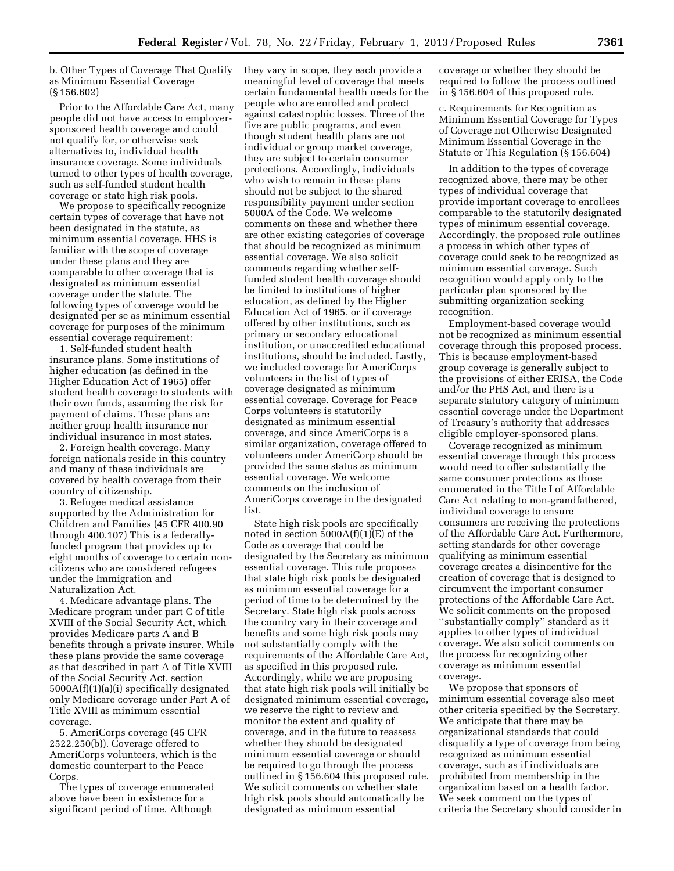b. Other Types of Coverage That Qualify as Minimum Essential Coverage (§ 156.602)

Prior to the Affordable Care Act, many people did not have access to employersponsored health coverage and could not qualify for, or otherwise seek alternatives to, individual health insurance coverage. Some individuals turned to other types of health coverage, such as self-funded student health coverage or state high risk pools.

We propose to specifically recognize certain types of coverage that have not been designated in the statute, as minimum essential coverage. HHS is familiar with the scope of coverage under these plans and they are comparable to other coverage that is designated as minimum essential coverage under the statute. The following types of coverage would be designated per se as minimum essential coverage for purposes of the minimum essential coverage requirement:

1. Self-funded student health insurance plans. Some institutions of higher education (as defined in the Higher Education Act of 1965) offer student health coverage to students with their own funds, assuming the risk for payment of claims. These plans are neither group health insurance nor individual insurance in most states.

2. Foreign health coverage. Many foreign nationals reside in this country and many of these individuals are covered by health coverage from their country of citizenship.

3. Refugee medical assistance supported by the Administration for Children and Families (45 CFR 400.90 through 400.107) This is a federallyfunded program that provides up to eight months of coverage to certain noncitizens who are considered refugees under the Immigration and Naturalization Act.

4. Medicare advantage plans. The Medicare program under part C of title XVIII of the Social Security Act, which provides Medicare parts A and B benefits through a private insurer. While these plans provide the same coverage as that described in part A of Title XVIII of the Social Security Act, section 5000A(f)(1)(a)(i) specifically designated only Medicare coverage under Part A of Title XVIII as minimum essential coverage.

5. AmeriCorps coverage (45 CFR 2522.250(b)). Coverage offered to AmeriCorps volunteers, which is the domestic counterpart to the Peace Corps.

The types of coverage enumerated above have been in existence for a significant period of time. Although

they vary in scope, they each provide a meaningful level of coverage that meets certain fundamental health needs for the people who are enrolled and protect against catastrophic losses. Three of the five are public programs, and even though student health plans are not individual or group market coverage, they are subject to certain consumer protections. Accordingly, individuals who wish to remain in these plans should not be subject to the shared responsibility payment under section 5000A of the Code. We welcome comments on these and whether there are other existing categories of coverage that should be recognized as minimum essential coverage. We also solicit comments regarding whether selffunded student health coverage should be limited to institutions of higher education, as defined by the Higher Education Act of 1965, or if coverage offered by other institutions, such as primary or secondary educational institution, or unaccredited educational institutions, should be included. Lastly, we included coverage for AmeriCorps volunteers in the list of types of coverage designated as minimum essential coverage. Coverage for Peace Corps volunteers is statutorily designated as minimum essential coverage, and since AmeriCorps is a similar organization, coverage offered to volunteers under AmeriCorp should be provided the same status as minimum essential coverage. We welcome comments on the inclusion of AmeriCorps coverage in the designated list.

State high risk pools are specifically noted in section 5000A(f)(1)(E) of the Code as coverage that could be designated by the Secretary as minimum essential coverage. This rule proposes that state high risk pools be designated as minimum essential coverage for a period of time to be determined by the Secretary. State high risk pools across the country vary in their coverage and benefits and some high risk pools may not substantially comply with the requirements of the Affordable Care Act, as specified in this proposed rule. Accordingly, while we are proposing that state high risk pools will initially be designated minimum essential coverage, we reserve the right to review and monitor the extent and quality of coverage, and in the future to reassess whether they should be designated minimum essential coverage or should be required to go through the process outlined in § 156.604 this proposed rule. We solicit comments on whether state high risk pools should automatically be designated as minimum essential

coverage or whether they should be required to follow the process outlined in § 156.604 of this proposed rule.

c. Requirements for Recognition as Minimum Essential Coverage for Types of Coverage not Otherwise Designated Minimum Essential Coverage in the Statute or This Regulation (§ 156.604)

In addition to the types of coverage recognized above, there may be other types of individual coverage that provide important coverage to enrollees comparable to the statutorily designated types of minimum essential coverage. Accordingly, the proposed rule outlines a process in which other types of coverage could seek to be recognized as minimum essential coverage. Such recognition would apply only to the particular plan sponsored by the submitting organization seeking recognition.

Employment-based coverage would not be recognized as minimum essential coverage through this proposed process. This is because employment-based group coverage is generally subject to the provisions of either ERISA, the Code and/or the PHS Act, and there is a separate statutory category of minimum essential coverage under the Department of Treasury's authority that addresses eligible employer-sponsored plans.

Coverage recognized as minimum essential coverage through this process would need to offer substantially the same consumer protections as those enumerated in the Title I of Affordable Care Act relating to non-grandfathered, individual coverage to ensure consumers are receiving the protections of the Affordable Care Act. Furthermore, setting standards for other coverage qualifying as minimum essential coverage creates a disincentive for the creation of coverage that is designed to circumvent the important consumer protections of the Affordable Care Act. We solicit comments on the proposed ''substantially comply'' standard as it applies to other types of individual coverage. We also solicit comments on the process for recognizing other coverage as minimum essential coverage.

We propose that sponsors of minimum essential coverage also meet other criteria specified by the Secretary. We anticipate that there may be organizational standards that could disqualify a type of coverage from being recognized as minimum essential coverage, such as if individuals are prohibited from membership in the organization based on a health factor. We seek comment on the types of criteria the Secretary should consider in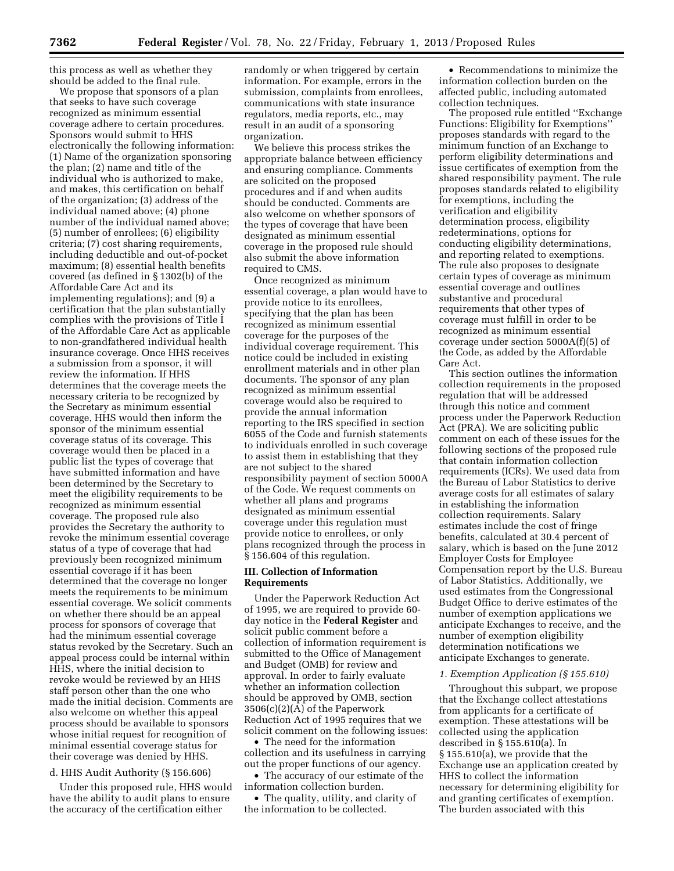this process as well as whether they should be added to the final rule.

We propose that sponsors of a plan that seeks to have such coverage recognized as minimum essential coverage adhere to certain procedures. Sponsors would submit to HHS electronically the following information: (1) Name of the organization sponsoring the plan; (2) name and title of the individual who is authorized to make, and makes, this certification on behalf of the organization; (3) address of the individual named above; (4) phone number of the individual named above; (5) number of enrollees; (6) eligibility criteria; (7) cost sharing requirements, including deductible and out-of-pocket maximum; (8) essential health benefits covered (as defined in § 1302(b) of the Affordable Care Act and its implementing regulations); and (9) a certification that the plan substantially complies with the provisions of Title I of the Affordable Care Act as applicable to non-grandfathered individual health insurance coverage. Once HHS receives a submission from a sponsor, it will review the information. If HHS determines that the coverage meets the necessary criteria to be recognized by the Secretary as minimum essential coverage, HHS would then inform the sponsor of the minimum essential coverage status of its coverage. This coverage would then be placed in a public list the types of coverage that have submitted information and have been determined by the Secretary to meet the eligibility requirements to be recognized as minimum essential coverage. The proposed rule also provides the Secretary the authority to revoke the minimum essential coverage status of a type of coverage that had previously been recognized minimum essential coverage if it has been determined that the coverage no longer meets the requirements to be minimum essential coverage. We solicit comments on whether there should be an appeal process for sponsors of coverage that had the minimum essential coverage status revoked by the Secretary. Such an appeal process could be internal within HHS, where the initial decision to revoke would be reviewed by an HHS staff person other than the one who made the initial decision. Comments are also welcome on whether this appeal process should be available to sponsors whose initial request for recognition of minimal essential coverage status for their coverage was denied by HHS.

# d. HHS Audit Authority (§ 156.606)

Under this proposed rule, HHS would have the ability to audit plans to ensure the accuracy of the certification either

randomly or when triggered by certain information. For example, errors in the submission, complaints from enrollees, communications with state insurance regulators, media reports, etc., may result in an audit of a sponsoring organization.

We believe this process strikes the appropriate balance between efficiency and ensuring compliance. Comments are solicited on the proposed procedures and if and when audits should be conducted. Comments are also welcome on whether sponsors of the types of coverage that have been designated as minimum essential coverage in the proposed rule should also submit the above information required to CMS.

Once recognized as minimum essential coverage, a plan would have to provide notice to its enrollees, specifying that the plan has been recognized as minimum essential coverage for the purposes of the individual coverage requirement. This notice could be included in existing enrollment materials and in other plan documents. The sponsor of any plan recognized as minimum essential coverage would also be required to provide the annual information reporting to the IRS specified in section 6055 of the Code and furnish statements to individuals enrolled in such coverage to assist them in establishing that they are not subject to the shared responsibility payment of section 5000A of the Code. We request comments on whether all plans and programs designated as minimum essential coverage under this regulation must provide notice to enrollees, or only plans recognized through the process in § 156.604 of this regulation.

### **III. Collection of Information Requirements**

Under the Paperwork Reduction Act of 1995, we are required to provide 60 day notice in the **Federal Register** and solicit public comment before a collection of information requirement is submitted to the Office of Management and Budget (OMB) for review and approval. In order to fairly evaluate whether an information collection should be approved by OMB, section 3506(c)(2)(A) of the Paperwork Reduction Act of 1995 requires that we solicit comment on the following issues:

• The need for the information collection and its usefulness in carrying out the proper functions of our agency.

• The accuracy of our estimate of the information collection burden.

• The quality, utility, and clarity of the information to be collected.

• Recommendations to minimize the information collection burden on the affected public, including automated collection techniques.

The proposed rule entitled ''Exchange Functions: Eligibility for Exemptions'' proposes standards with regard to the minimum function of an Exchange to perform eligibility determinations and issue certificates of exemption from the shared responsibility payment. The rule proposes standards related to eligibility for exemptions, including the verification and eligibility determination process, eligibility redeterminations, options for conducting eligibility determinations, and reporting related to exemptions. The rule also proposes to designate certain types of coverage as minimum essential coverage and outlines substantive and procedural requirements that other types of coverage must fulfill in order to be recognized as minimum essential coverage under section 5000A(f)(5) of the Code, as added by the Affordable Care Act.

This section outlines the information collection requirements in the proposed regulation that will be addressed through this notice and comment process under the Paperwork Reduction Act (PRA). We are soliciting public comment on each of these issues for the following sections of the proposed rule that contain information collection requirements (ICRs). We used data from the Bureau of Labor Statistics to derive average costs for all estimates of salary in establishing the information collection requirements. Salary estimates include the cost of fringe benefits, calculated at 30.4 percent of salary, which is based on the June 2012 Employer Costs for Employee Compensation report by the U.S. Bureau of Labor Statistics. Additionally, we used estimates from the Congressional Budget Office to derive estimates of the number of exemption applications we anticipate Exchanges to receive, and the number of exemption eligibility determination notifications we anticipate Exchanges to generate.

#### *1. Exemption Application (§ 155.610)*

Throughout this subpart, we propose that the Exchange collect attestations from applicants for a certificate of exemption. These attestations will be collected using the application described in § 155.610(a). In § 155.610(a), we provide that the Exchange use an application created by HHS to collect the information necessary for determining eligibility for and granting certificates of exemption. The burden associated with this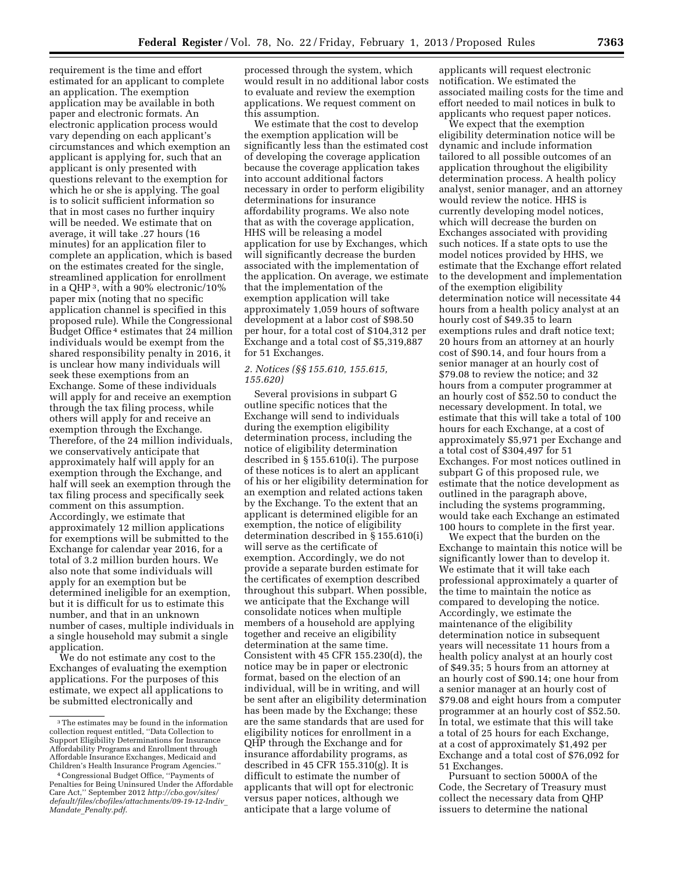requirement is the time and effort estimated for an applicant to complete an application. The exemption application may be available in both paper and electronic formats. An electronic application process would vary depending on each applicant's circumstances and which exemption an applicant is applying for, such that an applicant is only presented with questions relevant to the exemption for which he or she is applying. The goal is to solicit sufficient information so that in most cases no further inquiry will be needed. We estimate that on average, it will take .27 hours (16 minutes) for an application filer to complete an application, which is based on the estimates created for the single, streamlined application for enrollment in a QHP 3, with a 90% electronic/10% paper mix (noting that no specific application channel is specified in this proposed rule). While the Congressional Budget Office 4 estimates that 24 million individuals would be exempt from the shared responsibility penalty in 2016, it is unclear how many individuals will seek these exemptions from an Exchange. Some of these individuals will apply for and receive an exemption through the tax filing process, while others will apply for and receive an exemption through the Exchange. Therefore, of the 24 million individuals, we conservatively anticipate that approximately half will apply for an exemption through the Exchange, and half will seek an exemption through the tax filing process and specifically seek comment on this assumption. Accordingly, we estimate that approximately 12 million applications for exemptions will be submitted to the Exchange for calendar year 2016, for a total of 3.2 million burden hours. We also note that some individuals will apply for an exemption but be determined ineligible for an exemption, but it is difficult for us to estimate this number, and that in an unknown number of cases, multiple individuals in a single household may submit a single application.

We do not estimate any cost to the Exchanges of evaluating the exemption applications. For the purposes of this estimate, we expect all applications to be submitted electronically and

processed through the system, which would result in no additional labor costs to evaluate and review the exemption applications. We request comment on this assumption.

We estimate that the cost to develop the exemption application will be significantly less than the estimated cost of developing the coverage application because the coverage application takes into account additional factors necessary in order to perform eligibility determinations for insurance affordability programs. We also note that as with the coverage application, HHS will be releasing a model application for use by Exchanges, which will significantly decrease the burden associated with the implementation of the application. On average, we estimate that the implementation of the exemption application will take approximately 1,059 hours of software development at a labor cost of \$98.50 per hour, for a total cost of \$104,312 per Exchange and a total cost of \$5,319,887 for 51 Exchanges.

# *2. Notices (§§ 155.610, 155.615, 155.620)*

Several provisions in subpart G outline specific notices that the Exchange will send to individuals during the exemption eligibility determination process, including the notice of eligibility determination described in § 155.610(i). The purpose of these notices is to alert an applicant of his or her eligibility determination for an exemption and related actions taken by the Exchange. To the extent that an applicant is determined eligible for an exemption, the notice of eligibility determination described in § 155.610(i) will serve as the certificate of exemption. Accordingly, we do not provide a separate burden estimate for the certificates of exemption described throughout this subpart. When possible, we anticipate that the Exchange will consolidate notices when multiple members of a household are applying together and receive an eligibility determination at the same time. Consistent with 45 CFR 155.230(d), the notice may be in paper or electronic format, based on the election of an individual, will be in writing, and will be sent after an eligibility determination has been made by the Exchange; these are the same standards that are used for eligibility notices for enrollment in a QHP through the Exchange and for insurance affordability programs, as described in 45 CFR 155.310(g). It is difficult to estimate the number of applicants that will opt for electronic versus paper notices, although we anticipate that a large volume of

applicants will request electronic notification. We estimated the associated mailing costs for the time and effort needed to mail notices in bulk to applicants who request paper notices.

We expect that the exemption eligibility determination notice will be dynamic and include information tailored to all possible outcomes of an application throughout the eligibility determination process. A health policy analyst, senior manager, and an attorney would review the notice. HHS is currently developing model notices, which will decrease the burden on Exchanges associated with providing such notices. If a state opts to use the model notices provided by HHS, we estimate that the Exchange effort related to the development and implementation of the exemption eligibility determination notice will necessitate 44 hours from a health policy analyst at an hourly cost of \$49.35 to learn exemptions rules and draft notice text; 20 hours from an attorney at an hourly cost of \$90.14, and four hours from a senior manager at an hourly cost of \$79.08 to review the notice; and 32 hours from a computer programmer at an hourly cost of \$52.50 to conduct the necessary development. In total, we estimate that this will take a total of 100 hours for each Exchange, at a cost of approximately \$5,971 per Exchange and a total cost of \$304,497 for 51 Exchanges. For most notices outlined in subpart G of this proposed rule, we estimate that the notice development as outlined in the paragraph above, including the systems programming, would take each Exchange an estimated 100 hours to complete in the first year.

We expect that the burden on the Exchange to maintain this notice will be significantly lower than to develop it. We estimate that it will take each professional approximately a quarter of the time to maintain the notice as compared to developing the notice. Accordingly, we estimate the maintenance of the eligibility determination notice in subsequent years will necessitate 11 hours from a health policy analyst at an hourly cost of \$49.35; 5 hours from an attorney at an hourly cost of \$90.14; one hour from a senior manager at an hourly cost of \$79.08 and eight hours from a computer programmer at an hourly cost of \$52.50. In total, we estimate that this will take a total of 25 hours for each Exchange, at a cost of approximately \$1,492 per Exchange and a total cost of \$76,092 for 51 Exchanges.

Pursuant to section 5000A of the Code, the Secretary of Treasury must collect the necessary data from QHP issuers to determine the national

<sup>3</sup>The estimates may be found in the information collection request entitled, ''Data Collection to Support Eligibility Determinations for Insurance Affordability Programs and Enrollment through Affordable Insurance Exchanges, Medicaid and<br>Children's Health Insurance Program Agencies.'

<sup>&</sup>lt;sup>4</sup> Congressional Budget Office, "Payments of Penalties for Being Uninsured Under the Affordable Care Act,'' September 2012 *[http://cbo.gov/sites/](http://cbo.gov/sites/default/files/cbofiles/attachments/09-19-12-Indiv_Mandate_Penalty.pdf) [default/files/cbofiles/attachments/09-19-12-Indiv](http://cbo.gov/sites/default/files/cbofiles/attachments/09-19-12-Indiv_Mandate_Penalty.pdf)*\_ *Mandate*\_*[Penalty.pdf](http://cbo.gov/sites/default/files/cbofiles/attachments/09-19-12-Indiv_Mandate_Penalty.pdf)*.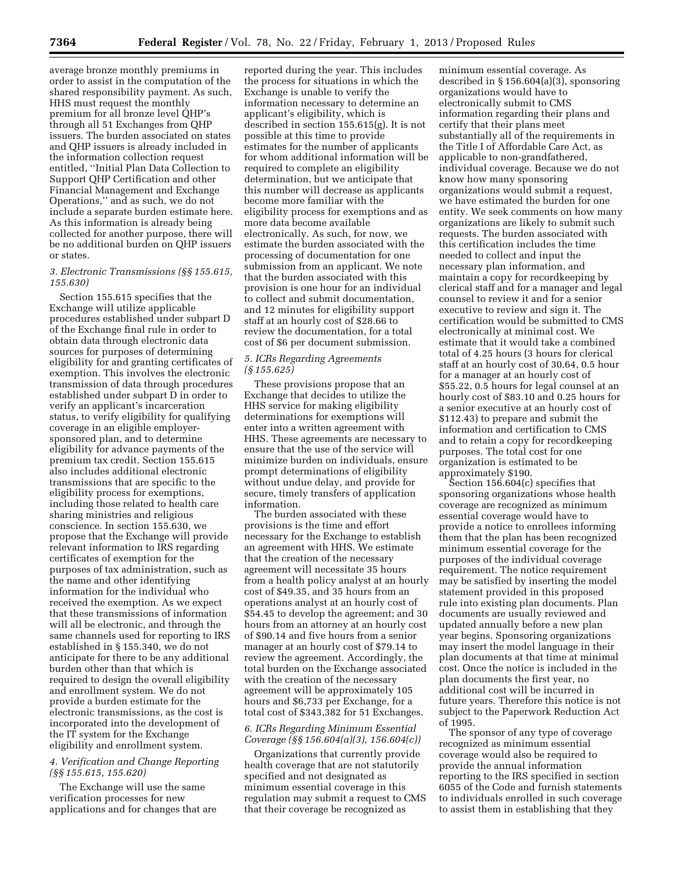average bronze monthly premiums in order to assist in the computation of the shared responsibility payment. As such, HHS must request the monthly premium for all bronze level QHP's through all 51 Exchanges from QHP issuers. The burden associated on states and QHP issuers is already included in the information collection request entitled, ''Initial Plan Data Collection to Support QHP Certification and other Financial Management and Exchange Operations,'' and as such, we do not include a separate burden estimate here. As this information is already being collected for another purpose, there will be no additional burden on QHP issuers or states.

## *3. Electronic Transmissions (§§ 155.615, 155.630)*

Section 155.615 specifies that the Exchange will utilize applicable procedures established under subpart D of the Exchange final rule in order to obtain data through electronic data sources for purposes of determining eligibility for and granting certificates of exemption. This involves the electronic transmission of data through procedures established under subpart D in order to verify an applicant's incarceration status, to verify eligibility for qualifying coverage in an eligible employersponsored plan, and to determine eligibility for advance payments of the premium tax credit. Section 155.615 also includes additional electronic transmissions that are specific to the eligibility process for exemptions, including those related to health care sharing ministries and religious conscience. In section 155.630, we propose that the Exchange will provide relevant information to IRS regarding certificates of exemption for the purposes of tax administration, such as the name and other identifying information for the individual who received the exemption. As we expect that these transmissions of information will all be electronic, and through the same channels used for reporting to IRS established in § 155.340, we do not anticipate for there to be any additional burden other than that which is required to design the overall eligibility and enrollment system. We do not provide a burden estimate for the electronic transmissions, as the cost is incorporated into the development of the IT system for the Exchange eligibility and enrollment system.

### *4. Verification and Change Reporting (§§ 155.615, 155.620)*

The Exchange will use the same verification processes for new applications and for changes that are

reported during the year. This includes the process for situations in which the Exchange is unable to verify the information necessary to determine an applicant's eligibility, which is described in section 155.615(g). It is not possible at this time to provide estimates for the number of applicants for whom additional information will be required to complete an eligibility determination, but we anticipate that this number will decrease as applicants become more familiar with the eligibility process for exemptions and as more data become available electronically. As such, for now, we estimate the burden associated with the processing of documentation for one submission from an applicant. We note that the burden associated with this provision is one hour for an individual to collect and submit documentation, and 12 minutes for eligibility support staff at an hourly cost of \$28.66 to review the documentation, for a total cost of \$6 per document submission.

## *5. ICRs Regarding Agreements (§ 155.625)*

These provisions propose that an Exchange that decides to utilize the HHS service for making eligibility determinations for exemptions will enter into a written agreement with HHS. These agreements are necessary to ensure that the use of the service will minimize burden on individuals, ensure prompt determinations of eligibility without undue delay, and provide for secure, timely transfers of application information.

The burden associated with these provisions is the time and effort necessary for the Exchange to establish an agreement with HHS. We estimate that the creation of the necessary agreement will necessitate 35 hours from a health policy analyst at an hourly cost of \$49.35, and 35 hours from an operations analyst at an hourly cost of \$54.45 to develop the agreement; and 30 hours from an attorney at an hourly cost of \$90.14 and five hours from a senior manager at an hourly cost of \$79.14 to review the agreement. Accordingly, the total burden on the Exchange associated with the creation of the necessary agreement will be approximately 105 hours and \$6,733 per Exchange, for a total cost of \$343,382 for 51 Exchanges.

# *6. ICRs Regarding Minimum Essential Coverage (§§ 156.604(a)(3), 156.604(c))*

Organizations that currently provide health coverage that are not statutorily specified and not designated as minimum essential coverage in this regulation may submit a request to CMS that their coverage be recognized as

minimum essential coverage. As described in § 156.604(a)(3), sponsoring organizations would have to electronically submit to CMS information regarding their plans and certify that their plans meet substantially all of the requirements in the Title I of Affordable Care Act, as applicable to non-grandfathered, individual coverage. Because we do not know how many sponsoring organizations would submit a request, we have estimated the burden for one entity. We seek comments on how many organizations are likely to submit such requests. The burden associated with this certification includes the time needed to collect and input the necessary plan information, and maintain a copy for recordkeeping by clerical staff and for a manager and legal counsel to review it and for a senior executive to review and sign it. The certification would be submitted to CMS electronically at minimal cost. We estimate that it would take a combined total of 4.25 hours (3 hours for clerical staff at an hourly cost of 30.64, 0.5 hour for a manager at an hourly cost of \$55.22, 0.5 hours for legal counsel at an hourly cost of \$83.10 and 0.25 hours for a senior executive at an hourly cost of \$112.43) to prepare and submit the information and certification to CMS and to retain a copy for recordkeeping purposes. The total cost for one organization is estimated to be approximately \$190.

Section 156.604(c) specifies that sponsoring organizations whose health coverage are recognized as minimum essential coverage would have to provide a notice to enrollees informing them that the plan has been recognized minimum essential coverage for the purposes of the individual coverage requirement. The notice requirement may be satisfied by inserting the model statement provided in this proposed rule into existing plan documents. Plan documents are usually reviewed and updated annually before a new plan year begins. Sponsoring organizations may insert the model language in their plan documents at that time at minimal cost. Once the notice is included in the plan documents the first year, no additional cost will be incurred in future years. Therefore this notice is not subject to the Paperwork Reduction Act of 1995.

The sponsor of any type of coverage recognized as minimum essential coverage would also be required to provide the annual information reporting to the IRS specified in section 6055 of the Code and furnish statements to individuals enrolled in such coverage to assist them in establishing that they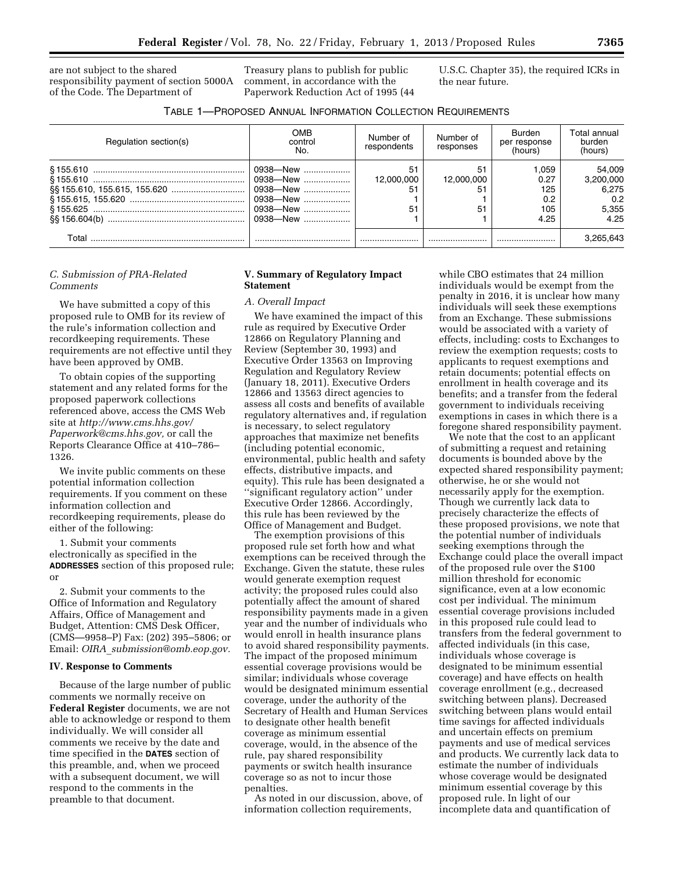are not subject to the shared responsibility payment of section 5000A of the Code. The Department of

Treasury plans to publish for public comment, in accordance with the Paperwork Reduction Act of 1995 (44 U.S.C. Chapter 35), the required ICRs in the near future.

|  | TABLE 1-PROPOSED ANNUAL INFORMATION COLLECTION REQUIREMENTS |
|--|-------------------------------------------------------------|
|--|-------------------------------------------------------------|

| Regulation section(s) | OMB<br>control<br>No.                                                | Number of<br>respondents | Number of<br>responses       | Burden<br>per response<br>(hours)          | Total annual<br>burden<br>(hours)                    |
|-----------------------|----------------------------------------------------------------------|--------------------------|------------------------------|--------------------------------------------|------------------------------------------------------|
|                       | 0938—New<br>0938-New<br>0938—New<br>0938-New<br>0938-New<br>0938-New | 51<br>12.000.000         | 51<br>12,000,000<br>51<br>51 | 1.059<br>0.27<br>125<br>0.2<br>105<br>4.25 | 54.009<br>3,200,000<br>6.275<br>0.2<br>5.355<br>4.25 |
| Total                 |                                                                      |                          |                              |                                            | 3,265,643                                            |

#### *C. Submission of PRA-Related Comments*

We have submitted a copy of this proposed rule to OMB for its review of the rule's information collection and recordkeeping requirements. These requirements are not effective until they have been approved by OMB.

To obtain copies of the supporting statement and any related forms for the proposed paperwork collections referenced above, access the CMS Web site at *<http://www.cms.hhs.gov/> [Paperwork@cms.hhs.gov,](mailto:Paperwork@cms.hhs.gov)* or call the Reports Clearance Office at 410–786– 1326.

We invite public comments on these potential information collection requirements. If you comment on these information collection and recordkeeping requirements, please do either of the following:

1. Submit your comments electronically as specified in the **ADDRESSES** section of this proposed rule; or

2. Submit your comments to the Office of Information and Regulatory Affairs, Office of Management and Budget, Attention: CMS Desk Officer, (CMS—9958–P) Fax: (202) 395–5806; or Email: *OIRA*\_*[submission@omb.eop.gov.](mailto:OIRA_submission@omb.eop.gov)* 

#### **IV. Response to Comments**

Because of the large number of public comments we normally receive on **Federal Register** documents, we are not able to acknowledge or respond to them individually. We will consider all comments we receive by the date and time specified in the **DATES** section of this preamble, and, when we proceed with a subsequent document, we will respond to the comments in the preamble to that document.

### **V. Summary of Regulatory Impact Statement**

# *A. Overall Impact*

We have examined the impact of this rule as required by Executive Order 12866 on Regulatory Planning and Review (September 30, 1993) and Executive Order 13563 on Improving Regulation and Regulatory Review (January 18, 2011). Executive Orders 12866 and 13563 direct agencies to assess all costs and benefits of available regulatory alternatives and, if regulation is necessary, to select regulatory approaches that maximize net benefits (including potential economic, environmental, public health and safety effects, distributive impacts, and equity). This rule has been designated a ''significant regulatory action'' under Executive Order 12866. Accordingly, this rule has been reviewed by the Office of Management and Budget.

The exemption provisions of this proposed rule set forth how and what exemptions can be received through the Exchange. Given the statute, these rules would generate exemption request activity; the proposed rules could also potentially affect the amount of shared responsibility payments made in a given year and the number of individuals who would enroll in health insurance plans to avoid shared responsibility payments. The impact of the proposed minimum essential coverage provisions would be similar; individuals whose coverage would be designated minimum essential coverage, under the authority of the Secretary of Health and Human Services to designate other health benefit coverage as minimum essential coverage, would, in the absence of the rule, pay shared responsibility payments or switch health insurance coverage so as not to incur those penalties.

As noted in our discussion, above, of information collection requirements,

while CBO estimates that 24 million individuals would be exempt from the penalty in 2016, it is unclear how many individuals will seek these exemptions from an Exchange. These submissions would be associated with a variety of effects, including: costs to Exchanges to review the exemption requests; costs to applicants to request exemptions and retain documents; potential effects on enrollment in health coverage and its benefits; and a transfer from the federal government to individuals receiving exemptions in cases in which there is a foregone shared responsibility payment.

We note that the cost to an applicant of submitting a request and retaining documents is bounded above by the expected shared responsibility payment; otherwise, he or she would not necessarily apply for the exemption. Though we currently lack data to precisely characterize the effects of these proposed provisions, we note that the potential number of individuals seeking exemptions through the Exchange could place the overall impact of the proposed rule over the \$100 million threshold for economic significance, even at a low economic cost per individual. The minimum essential coverage provisions included in this proposed rule could lead to transfers from the federal government to affected individuals (in this case, individuals whose coverage is designated to be minimum essential coverage) and have effects on health coverage enrollment (e.g., decreased switching between plans). Decreased switching between plans would entail time savings for affected individuals and uncertain effects on premium payments and use of medical services and products. We currently lack data to estimate the number of individuals whose coverage would be designated minimum essential coverage by this proposed rule. In light of our incomplete data and quantification of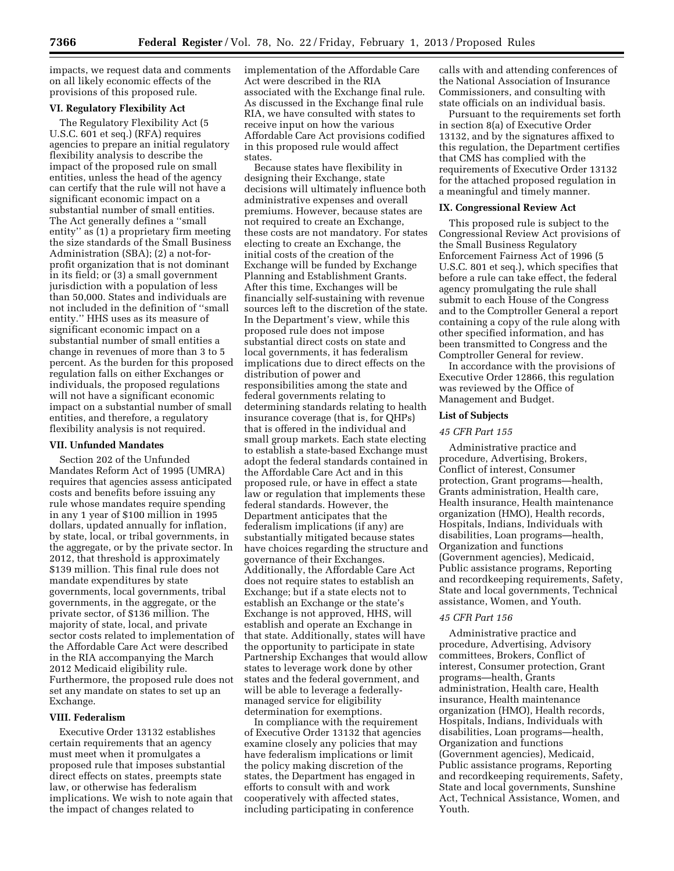impacts, we request data and comments on all likely economic effects of the provisions of this proposed rule.

# **VI. Regulatory Flexibility Act**

The Regulatory Flexibility Act (5 U.S.C. 601 et seq.) (RFA) requires agencies to prepare an initial regulatory flexibility analysis to describe the impact of the proposed rule on small entities, unless the head of the agency can certify that the rule will not have a significant economic impact on a substantial number of small entities. The Act generally defines a ''small entity'' as (1) a proprietary firm meeting the size standards of the Small Business Administration (SBA); (2) a not-forprofit organization that is not dominant in its field; or (3) a small government jurisdiction with a population of less than 50,000. States and individuals are not included in the definition of ''small entity.'' HHS uses as its measure of significant economic impact on a substantial number of small entities a change in revenues of more than 3 to 5 percent. As the burden for this proposed regulation falls on either Exchanges or individuals, the proposed regulations will not have a significant economic impact on a substantial number of small entities, and therefore, a regulatory flexibility analysis is not required.

### **VII. Unfunded Mandates**

Section 202 of the Unfunded Mandates Reform Act of 1995 (UMRA) requires that agencies assess anticipated costs and benefits before issuing any rule whose mandates require spending in any 1 year of \$100 million in 1995 dollars, updated annually for inflation, by state, local, or tribal governments, in the aggregate, or by the private sector. In 2012, that threshold is approximately \$139 million. This final rule does not mandate expenditures by state governments, local governments, tribal governments, in the aggregate, or the private sector, of \$136 million. The majority of state, local, and private sector costs related to implementation of the Affordable Care Act were described in the RIA accompanying the March 2012 Medicaid eligibility rule. Furthermore, the proposed rule does not set any mandate on states to set up an Exchange.

### **VIII. Federalism**

Executive Order 13132 establishes certain requirements that an agency must meet when it promulgates a proposed rule that imposes substantial direct effects on states, preempts state law, or otherwise has federalism implications. We wish to note again that the impact of changes related to

implementation of the Affordable Care Act were described in the RIA associated with the Exchange final rule. As discussed in the Exchange final rule RIA, we have consulted with states to receive input on how the various Affordable Care Act provisions codified in this proposed rule would affect states.

Because states have flexibility in designing their Exchange, state decisions will ultimately influence both administrative expenses and overall premiums. However, because states are not required to create an Exchange, these costs are not mandatory. For states electing to create an Exchange, the initial costs of the creation of the Exchange will be funded by Exchange Planning and Establishment Grants. After this time, Exchanges will be financially self-sustaining with revenue sources left to the discretion of the state. In the Department's view, while this proposed rule does not impose substantial direct costs on state and local governments, it has federalism implications due to direct effects on the distribution of power and responsibilities among the state and federal governments relating to determining standards relating to health insurance coverage (that is, for QHPs) that is offered in the individual and small group markets. Each state electing to establish a state-based Exchange must adopt the federal standards contained in the Affordable Care Act and in this proposed rule, or have in effect a state law or regulation that implements these federal standards. However, the Department anticipates that the federalism implications (if any) are substantially mitigated because states have choices regarding the structure and governance of their Exchanges. Additionally, the Affordable Care Act does not require states to establish an Exchange; but if a state elects not to establish an Exchange or the state's Exchange is not approved, HHS, will establish and operate an Exchange in that state. Additionally, states will have the opportunity to participate in state Partnership Exchanges that would allow states to leverage work done by other states and the federal government, and will be able to leverage a federallymanaged service for eligibility determination for exemptions.

In compliance with the requirement of Executive Order 13132 that agencies examine closely any policies that may have federalism implications or limit the policy making discretion of the states, the Department has engaged in efforts to consult with and work cooperatively with affected states, including participating in conference

calls with and attending conferences of the National Association of Insurance Commissioners, and consulting with state officials on an individual basis.

Pursuant to the requirements set forth in section 8(a) of Executive Order 13132, and by the signatures affixed to this regulation, the Department certifies that CMS has complied with the requirements of Executive Order 13132 for the attached proposed regulation in a meaningful and timely manner.

#### **IX. Congressional Review Act**

This proposed rule is subject to the Congressional Review Act provisions of the Small Business Regulatory Enforcement Fairness Act of 1996 (5 U.S.C. 801 et seq.), which specifies that before a rule can take effect, the federal agency promulgating the rule shall submit to each House of the Congress and to the Comptroller General a report containing a copy of the rule along with other specified information, and has been transmitted to Congress and the Comptroller General for review.

In accordance with the provisions of Executive Order 12866, this regulation was reviewed by the Office of Management and Budget.

# **List of Subjects**

#### *45 CFR Part 155*

Administrative practice and procedure, Advertising, Brokers, Conflict of interest, Consumer protection, Grant programs—health, Grants administration, Health care, Health insurance, Health maintenance organization (HMO), Health records, Hospitals, Indians, Individuals with disabilities, Loan programs—health, Organization and functions (Government agencies), Medicaid, Public assistance programs, Reporting and recordkeeping requirements, Safety, State and local governments, Technical assistance, Women, and Youth.

### *45 CFR Part 156*

Administrative practice and procedure, Advertising, Advisory committees, Brokers, Conflict of interest, Consumer protection, Grant programs—health, Grants administration, Health care, Health insurance, Health maintenance organization (HMO), Health records, Hospitals, Indians, Individuals with disabilities, Loan programs—health, Organization and functions (Government agencies), Medicaid, Public assistance programs, Reporting and recordkeeping requirements, Safety, State and local governments, Sunshine Act, Technical Assistance, Women, and Youth.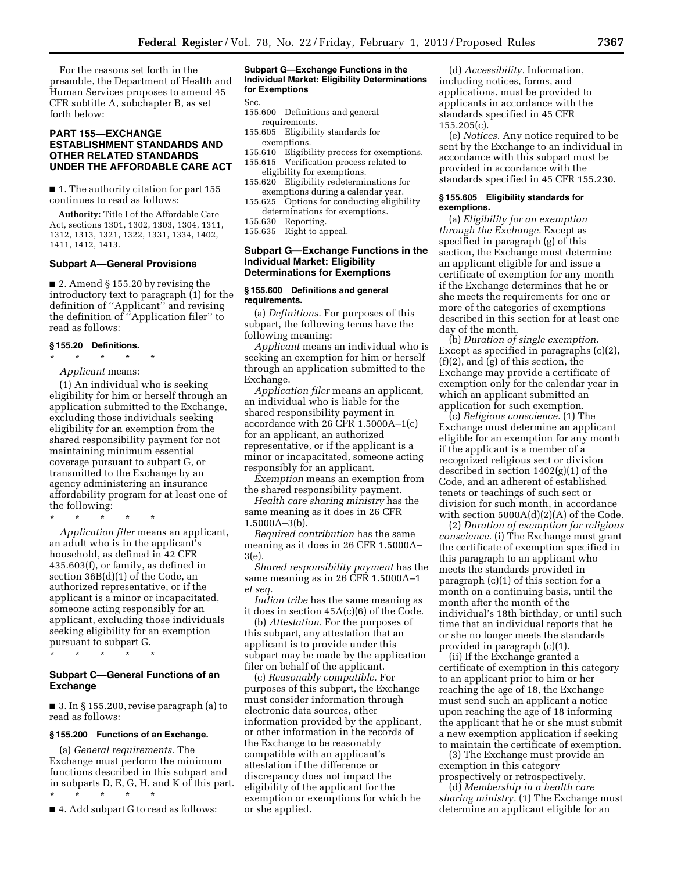For the reasons set forth in the preamble, the Department of Health and Human Services proposes to amend 45 CFR subtitle A, subchapter B, as set forth below:

# **PART 155—EXCHANGE ESTABLISHMENT STANDARDS AND OTHER RELATED STANDARDS UNDER THE AFFORDABLE CARE ACT**

■ 1. The authority citation for part 155 continues to read as follows:

**Authority:** Title I of the Affordable Care Act, sections 1301, 1302, 1303, 1304, 1311, 1312, 1313, 1321, 1322, 1331, 1334, 1402, 1411, 1412, 1413.

### **Subpart A—General Provisions**

■ 2. Amend § 155.20 by revising the introductory text to paragraph (1) for the definition of ''Applicant'' and revising the definition of ''Application filer'' to read as follows:

#### **§ 155.20 Definitions.**

 $*$ 

*Applicant* means:

(1) An individual who is seeking eligibility for him or herself through an application submitted to the Exchange, excluding those individuals seeking eligibility for an exemption from the shared responsibility payment for not maintaining minimum essential coverage pursuant to subpart G, or transmitted to the Exchange by an agency administering an insurance affordability program for at least one of the following:

\* \* \* \* \*

*Application filer* means an applicant, an adult who is in the applicant's household, as defined in 42 CFR 435.603(f), or family, as defined in section 36B(d)(1) of the Code, an authorized representative, or if the applicant is a minor or incapacitated, someone acting responsibly for an applicant, excluding those individuals seeking eligibility for an exemption pursuant to subpart G.

\* \* \* \* \*

### **Subpart C—General Functions of an Exchange**

■ 3. In § 155.200, revise paragraph (a) to read as follows:

#### **§ 155.200 Functions of an Exchange.**

(a) *General requirements.* The Exchange must perform the minimum functions described in this subpart and in subparts D, E, G, H, and K of this part. \* \* \* \* \*

■ 4. Add subpart G to read as follows:

#### **Subpart G—Exchange Functions in the Individual Market: Eligibility Determinations for Exemptions**

Sec.

- 155.600 Definitions and general requirements.
- 155.605 Eligibility standards for
	- exemptions.
- 155.610 Eligibility process for exemptions. 155.615 Verification process related to
- eligibility for exemptions. 155.620 Eligibility redeterminations for exemptions during a calendar year.
- 155.625 Options for conducting eligibility determinations for exemptions.
- 155.630 Reporting.
- 155.635 Right to appeal.

### **Subpart G—Exchange Functions in the Individual Market: Eligibility Determinations for Exemptions**

#### **§ 155.600 Definitions and general requirements.**

(a) *Definitions.* For purposes of this subpart, the following terms have the following meaning:

*Applicant* means an individual who is seeking an exemption for him or herself through an application submitted to the Exchange.

*Application filer* means an applicant, an individual who is liable for the shared responsibility payment in accordance with 26 CFR 1.5000A–1(c) for an applicant, an authorized representative, or if the applicant is a minor or incapacitated, someone acting responsibly for an applicant.

*Exemption* means an exemption from the shared responsibility payment.

*Health care sharing ministry* has the same meaning as it does in 26 CFR 1.5000A–3(b).

*Required contribution* has the same meaning as it does in 26 CFR 1.5000A– 3(e).

*Shared responsibility payment* has the same meaning as in 26 CFR 1.5000A–1 *et seq.* 

*Indian tribe* has the same meaning as it does in section 45A(c)(6) of the Code.

(b) *Attestation.* For the purposes of this subpart, any attestation that an applicant is to provide under this subpart may be made by the application filer on behalf of the applicant.

(c) *Reasonably compatible.* For purposes of this subpart, the Exchange must consider information through electronic data sources, other information provided by the applicant, or other information in the records of the Exchange to be reasonably compatible with an applicant's attestation if the difference or discrepancy does not impact the eligibility of the applicant for the exemption or exemptions for which he or she applied.

(d) *Accessibility.* Information, including notices, forms, and applications, must be provided to applicants in accordance with the standards specified in 45 CFR 155.205(c).

(e) *Notices.* Any notice required to be sent by the Exchange to an individual in accordance with this subpart must be provided in accordance with the standards specified in 45 CFR 155.230.

### **§ 155.605 Eligibility standards for exemptions.**

(a) *Eligibility for an exemption through the Exchange.* Except as specified in paragraph (g) of this section, the Exchange must determine an applicant eligible for and issue a certificate of exemption for any month if the Exchange determines that he or she meets the requirements for one or more of the categories of exemptions described in this section for at least one day of the month.

(b) *Duration of single exemption.*  Except as specified in paragraphs (c)(2), (f)(2), and (g) of this section, the Exchange may provide a certificate of exemption only for the calendar year in which an applicant submitted an application for such exemption.

(c) *Religious conscience.* (1) The Exchange must determine an applicant eligible for an exemption for any month if the applicant is a member of a recognized religious sect or division described in section 1402(g)(1) of the Code, and an adherent of established tenets or teachings of such sect or division for such month, in accordance with section 5000A(d)(2)(A) of the Code.

(2) *Duration of exemption for religious conscience.* (i) The Exchange must grant the certificate of exemption specified in this paragraph to an applicant who meets the standards provided in paragraph (c)(1) of this section for a month on a continuing basis, until the month after the month of the individual's 18th birthday, or until such time that an individual reports that he or she no longer meets the standards provided in paragraph (c)(1).

(ii) If the Exchange granted a certificate of exemption in this category to an applicant prior to him or her reaching the age of 18, the Exchange must send such an applicant a notice upon reaching the age of 18 informing the applicant that he or she must submit a new exemption application if seeking to maintain the certificate of exemption.

(3) The Exchange must provide an exemption in this category prospectively or retrospectively.

(d) *Membership in a health care sharing ministry.* (1) The Exchange must determine an applicant eligible for an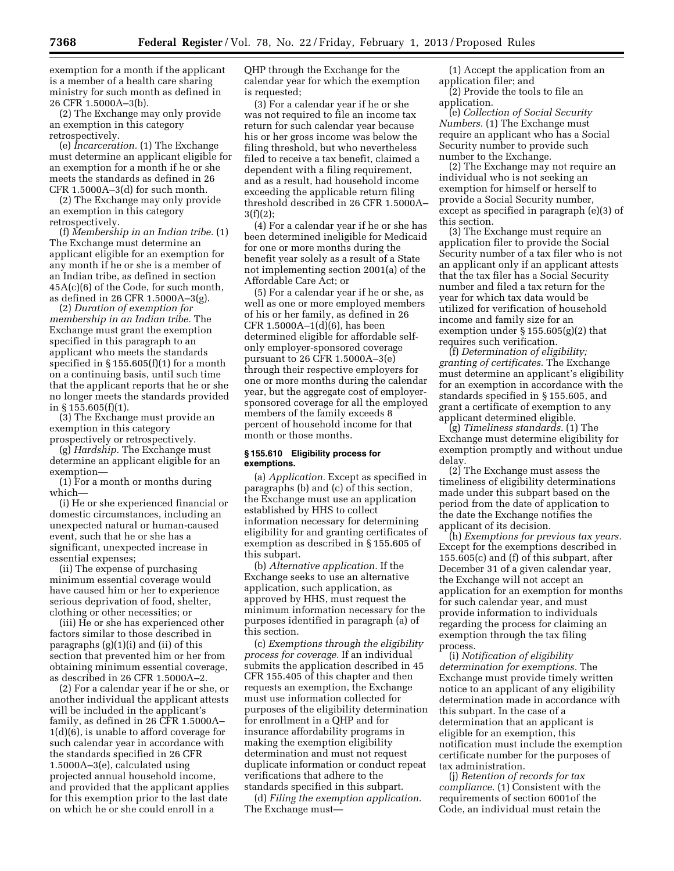exemption for a month if the applicant is a member of a health care sharing ministry for such month as defined in 26 CFR 1.5000A–3(b).

(2) The Exchange may only provide an exemption in this category retrospectively.

(e) *Incarceration.* (1) The Exchange must determine an applicant eligible for an exemption for a month if he or she meets the standards as defined in 26 CFR 1.5000A–3(d) for such month.

(2) The Exchange may only provide an exemption in this category retrospectively.

(f) *Membership in an Indian tribe.* (1) The Exchange must determine an applicant eligible for an exemption for any month if he or she is a member of an Indian tribe, as defined in section 45A(c)(6) of the Code, for such month, as defined in 26 CFR 1.5000A–3(g).

(2) *Duration of exemption for membership in an Indian tribe.* The Exchange must grant the exemption specified in this paragraph to an applicant who meets the standards specified in § 155.605(f)(1) for a month on a continuing basis, until such time that the applicant reports that he or she no longer meets the standards provided in § 155.605(f)(1).

(3) The Exchange must provide an exemption in this category prospectively or retrospectively.

(g) *Hardship.* The Exchange must determine an applicant eligible for an exemption—

(1) For a month or months during which—

(i) He or she experienced financial or domestic circumstances, including an unexpected natural or human-caused event, such that he or she has a significant, unexpected increase in essential expenses;

(ii) The expense of purchasing minimum essential coverage would have caused him or her to experience serious deprivation of food, shelter, clothing or other necessities; or

(iii) He or she has experienced other factors similar to those described in paragraphs (g)(1)(i) and (ii) of this section that prevented him or her from obtaining minimum essential coverage, as described in 26 CFR 1.5000A–2.

(2) For a calendar year if he or she, or another individual the applicant attests will be included in the applicant's family, as defined in 26 CFR 1.5000A– 1(d)(6), is unable to afford coverage for such calendar year in accordance with the standards specified in 26 CFR 1.5000A–3(e), calculated using projected annual household income, and provided that the applicant applies for this exemption prior to the last date on which he or she could enroll in a

QHP through the Exchange for the calendar year for which the exemption is requested;

(3) For a calendar year if he or she was not required to file an income tax return for such calendar year because his or her gross income was below the filing threshold, but who nevertheless filed to receive a tax benefit, claimed a dependent with a filing requirement, and as a result, had household income exceeding the applicable return filing threshold described in 26 CFR 1.5000A– 3(f)(2);

(4) For a calendar year if he or she has been determined ineligible for Medicaid for one or more months during the benefit year solely as a result of a State not implementing section 2001(a) of the Affordable Care Act; or

(5) For a calendar year if he or she, as well as one or more employed members of his or her family, as defined in 26 CFR 1.5000A $-1$ (d)(6), has been determined eligible for affordable selfonly employer-sponsored coverage pursuant to 26 CFR 1.5000A–3(e) through their respective employers for one or more months during the calendar year, but the aggregate cost of employersponsored coverage for all the employed members of the family exceeds 8 percent of household income for that month or those months.

### **§ 155.610 Eligibility process for exemptions.**

(a) *Application.* Except as specified in paragraphs (b) and (c) of this section, the Exchange must use an application established by HHS to collect information necessary for determining eligibility for and granting certificates of exemption as described in § 155.605 of this subpart.

(b) *Alternative application.* If the Exchange seeks to use an alternative application, such application, as approved by HHS, must request the minimum information necessary for the purposes identified in paragraph (a) of this section.

(c) *Exemptions through the eligibility process for coverage.* If an individual submits the application described in 45 CFR 155.405 of this chapter and then requests an exemption, the Exchange must use information collected for purposes of the eligibility determination for enrollment in a QHP and for insurance affordability programs in making the exemption eligibility determination and must not request duplicate information or conduct repeat verifications that adhere to the standards specified in this subpart.

(d) *Filing the exemption application.*  The Exchange must—

(1) Accept the application from an application filer; and

(2) Provide the tools to file an application.

(e) *Collection of Social Security Numbers.* (1) The Exchange must require an applicant who has a Social Security number to provide such number to the Exchange.

(2) The Exchange may not require an individual who is not seeking an exemption for himself or herself to provide a Social Security number, except as specified in paragraph (e)(3) of this section.

(3) The Exchange must require an application filer to provide the Social Security number of a tax filer who is not an applicant only if an applicant attests that the tax filer has a Social Security number and filed a tax return for the year for which tax data would be utilized for verification of household income and family size for an exemption under § 155.605(g)(2) that requires such verification.

(f) *Determination of eligibility; granting of certificates.* The Exchange must determine an applicant's eligibility for an exemption in accordance with the standards specified in § 155.605, and grant a certificate of exemption to any applicant determined eligible.

(g) *Timeliness standards.* (1) The Exchange must determine eligibility for exemption promptly and without undue delay.

(2) The Exchange must assess the timeliness of eligibility determinations made under this subpart based on the period from the date of application to the date the Exchange notifies the applicant of its decision.

(h) *Exemptions for previous tax years.*  Except for the exemptions described in 155.605(c) and (f) of this subpart, after December 31 of a given calendar year, the Exchange will not accept an application for an exemption for months for such calendar year, and must provide information to individuals regarding the process for claiming an exemption through the tax filing process.

(i) *Notification of eligibility determination for exemptions.* The Exchange must provide timely written notice to an applicant of any eligibility determination made in accordance with this subpart. In the case of a determination that an applicant is eligible for an exemption, this notification must include the exemption certificate number for the purposes of tax administration.

(j) *Retention of records for tax compliance.* (1) Consistent with the requirements of section 6001of the Code, an individual must retain the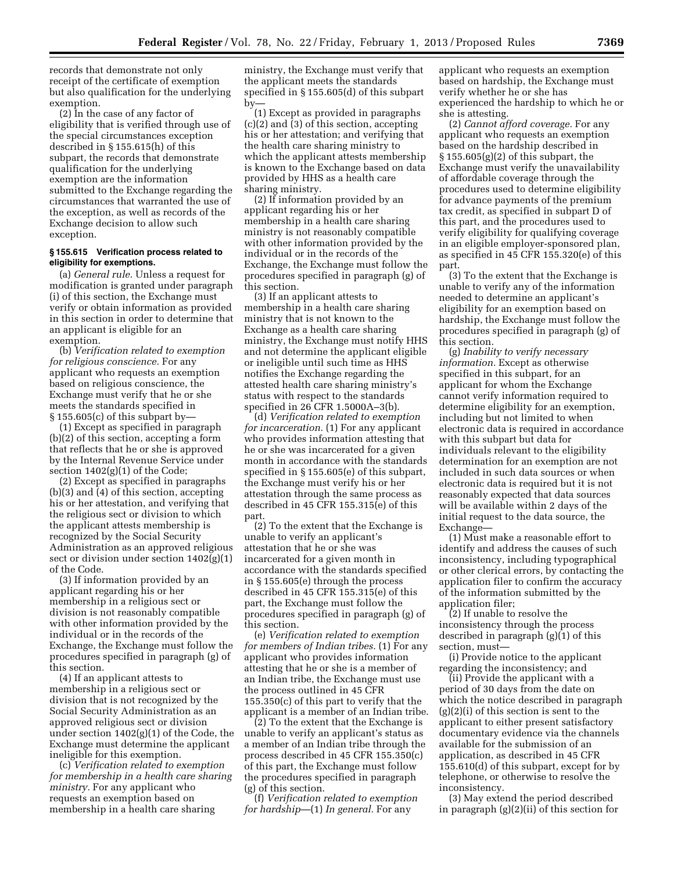records that demonstrate not only receipt of the certificate of exemption but also qualification for the underlying exemption.

(2) In the case of any factor of eligibility that is verified through use of the special circumstances exception described in § 155.615(h) of this subpart, the records that demonstrate qualification for the underlying exemption are the information submitted to the Exchange regarding the circumstances that warranted the use of the exception, as well as records of the Exchange decision to allow such exception.

## **§ 155.615 Verification process related to eligibility for exemptions.**

(a) *General rule.* Unless a request for modification is granted under paragraph (i) of this section, the Exchange must verify or obtain information as provided in this section in order to determine that an applicant is eligible for an exemption.

(b) *Verification related to exemption for religious conscience.* For any applicant who requests an exemption based on religious conscience, the Exchange must verify that he or she meets the standards specified in  $\S 155.605(c)$  of this subpart by-

(1) Except as specified in paragraph (b)(2) of this section, accepting a form that reflects that he or she is approved by the Internal Revenue Service under section 1402(g)(1) of the Code;

(2) Except as specified in paragraphs (b)(3) and (4) of this section, accepting his or her attestation, and verifying that the religious sect or division to which the applicant attests membership is recognized by the Social Security Administration as an approved religious sect or division under section 1402(g)(1) of the Code.

(3) If information provided by an applicant regarding his or her membership in a religious sect or division is not reasonably compatible with other information provided by the individual or in the records of the Exchange, the Exchange must follow the procedures specified in paragraph (g) of this section.

(4) If an applicant attests to membership in a religious sect or division that is not recognized by the Social Security Administration as an approved religious sect or division under section 1402(g)(1) of the Code, the Exchange must determine the applicant ineligible for this exemption.

(c) *Verification related to exemption for membership in a health care sharing ministry.* For any applicant who requests an exemption based on membership in a health care sharing

ministry, the Exchange must verify that the applicant meets the standards specified in § 155.605(d) of this subpart by—

(1) Except as provided in paragraphs (c)(2) and (3) of this section, accepting his or her attestation; and verifying that the health care sharing ministry to which the applicant attests membership is known to the Exchange based on data provided by HHS as a health care sharing ministry.

(2) If information provided by an applicant regarding his or her membership in a health care sharing ministry is not reasonably compatible with other information provided by the individual or in the records of the Exchange, the Exchange must follow the procedures specified in paragraph (g) of this section.

(3) If an applicant attests to membership in a health care sharing ministry that is not known to the Exchange as a health care sharing ministry, the Exchange must notify HHS and not determine the applicant eligible or ineligible until such time as HHS notifies the Exchange regarding the attested health care sharing ministry's status with respect to the standards specified in 26 CFR 1.5000A–3(b).

(d) *Verification related to exemption for incarceration.* (1) For any applicant who provides information attesting that he or she was incarcerated for a given month in accordance with the standards specified in § 155.605(e) of this subpart, the Exchange must verify his or her attestation through the same process as described in 45 CFR 155.315(e) of this part.

(2) To the extent that the Exchange is unable to verify an applicant's attestation that he or she was incarcerated for a given month in accordance with the standards specified in § 155.605(e) through the process described in 45 CFR 155.315(e) of this part, the Exchange must follow the procedures specified in paragraph (g) of this section.

(e) *Verification related to exemption for members of Indian tribes.* (1) For any applicant who provides information attesting that he or she is a member of an Indian tribe, the Exchange must use the process outlined in 45 CFR 155.350(c) of this part to verify that the applicant is a member of an Indian tribe.

(2) To the extent that the Exchange is unable to verify an applicant's status as a member of an Indian tribe through the process described in 45 CFR 155.350(c) of this part, the Exchange must follow the procedures specified in paragraph (g) of this section.

(f) *Verification related to exemption for hardship*—(1) *In general.* For any

applicant who requests an exemption based on hardship, the Exchange must verify whether he or she has experienced the hardship to which he or she is attesting.

(2) *Cannot afford coverage.* For any applicant who requests an exemption based on the hardship described in  $\S 155.605(g)(2)$  of this subpart, the Exchange must verify the unavailability of affordable coverage through the procedures used to determine eligibility for advance payments of the premium tax credit, as specified in subpart D of this part, and the procedures used to verify eligibility for qualifying coverage in an eligible employer-sponsored plan, as specified in 45 CFR 155.320(e) of this part.

(3) To the extent that the Exchange is unable to verify any of the information needed to determine an applicant's eligibility for an exemption based on hardship, the Exchange must follow the procedures specified in paragraph (g) of this section.

(g) *Inability to verify necessary information.* Except as otherwise specified in this subpart, for an applicant for whom the Exchange cannot verify information required to determine eligibility for an exemption, including but not limited to when electronic data is required in accordance with this subpart but data for individuals relevant to the eligibility determination for an exemption are not included in such data sources or when electronic data is required but it is not reasonably expected that data sources will be available within 2 days of the initial request to the data source, the Exchange—

(1) Must make a reasonable effort to identify and address the causes of such inconsistency, including typographical or other clerical errors, by contacting the application filer to confirm the accuracy of the information submitted by the application filer;

(2) If unable to resolve the inconsistency through the process described in paragraph (g)(1) of this section, must—

(i) Provide notice to the applicant regarding the inconsistency; and

(ii) Provide the applicant with a period of 30 days from the date on which the notice described in paragraph  $(g)(2)(i)$  of this section is sent to the applicant to either present satisfactory documentary evidence via the channels available for the submission of an application, as described in 45 CFR 155.610(d) of this subpart, except for by telephone, or otherwise to resolve the inconsistency.

(3) May extend the period described in paragraph (g)(2)(ii) of this section for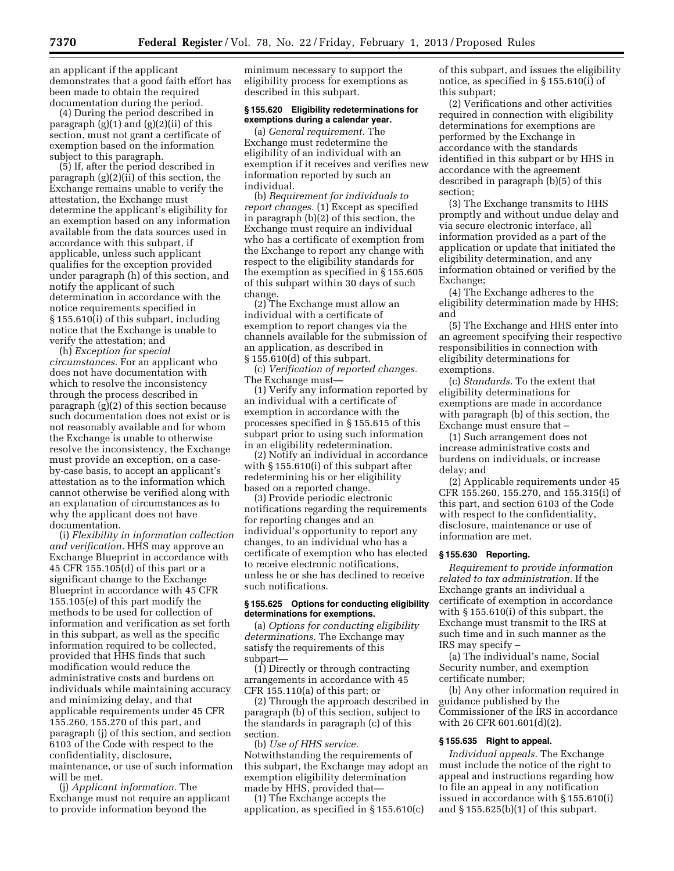an applicant if the applicant demonstrates that a good faith effort has been made to obtain the required documentation during the period.

(4) During the period described in paragraph  $(g)(1)$  and  $(g)(2)(ii)$  of this section, must not grant a certificate of exemption based on the information subject to this paragraph.

(5) If, after the period described in paragraph  $(g)(2)(ii)$  of this section, the Exchange remains unable to verify the attestation, the Exchange must determine the applicant's eligibility for an exemption based on any information available from the data sources used in accordance with this subpart, if applicable, unless such applicant qualifies for the exception provided under paragraph (h) of this section, and notify the applicant of such determination in accordance with the notice requirements specified in § 155.610(i) of this subpart, including notice that the Exchange is unable to verify the attestation; and

(h) *Exception for special circumstances.* For an applicant who does not have documentation with which to resolve the inconsistency through the process described in paragraph (g)(2) of this section because such documentation does not exist or is not reasonably available and for whom the Exchange is unable to otherwise resolve the inconsistency, the Exchange must provide an exception, on a caseby-case basis, to accept an applicant's attestation as to the information which cannot otherwise be verified along with an explanation of circumstances as to why the applicant does not have documentation.

(i) *Flexibility in information collection and verification.* HHS may approve an Exchange Blueprint in accordance with 45 CFR 155.105(d) of this part or a significant change to the Exchange Blueprint in accordance with 45 CFR 155.105(e) of this part modify the methods to be used for collection of information and verification as set forth in this subpart, as well as the specific information required to be collected, provided that HHS finds that such modification would reduce the administrative costs and burdens on individuals while maintaining accuracy and minimizing delay, and that applicable requirements under 45 CFR 155.260, 155.270 of this part, and paragraph (j) of this section, and section 6103 of the Code with respect to the confidentiality, disclosure, maintenance, or use of such information will be met.

(j) *Applicant information.* The Exchange must not require an applicant to provide information beyond the

minimum necessary to support the eligibility process for exemptions as described in this subpart.

#### **§ 155.620 Eligibility redeterminations for exemptions during a calendar year.**

(a) *General requirement.* The Exchange must redetermine the eligibility of an individual with an exemption if it receives and verifies new information reported by such an individual.

(b) *Requirement for individuals to report changes.* (1) Except as specified in paragraph (b)(2) of this section, the Exchange must require an individual who has a certificate of exemption from the Exchange to report any change with respect to the eligibility standards for the exemption as specified in § 155.605 of this subpart within 30 days of such change.

(2) The Exchange must allow an individual with a certificate of exemption to report changes via the channels available for the submission of an application, as described in § 155.610(d) of this subpart.

(c) *Verification of reported changes.*  The Exchange must—

(1) Verify any information reported by an individual with a certificate of exemption in accordance with the processes specified in § 155.615 of this subpart prior to using such information in an eligibility redetermination.

(2) Notify an individual in accordance with § 155.610(i) of this subpart after redetermining his or her eligibility based on a reported change.

(3) Provide periodic electronic notifications regarding the requirements for reporting changes and an individual's opportunity to report any changes, to an individual who has a certificate of exemption who has elected to receive electronic notifications, unless he or she has declined to receive such notifications.

### **§ 155.625 Options for conducting eligibility determinations for exemptions.**

(a) *Options for conducting eligibility determinations.* The Exchange may satisfy the requirements of this subpart—

(1) Directly or through contracting arrangements in accordance with 45 CFR 155.110(a) of this part; or

(2) Through the approach described in paragraph (b) of this section, subject to the standards in paragraph (c) of this section.

(b) *Use of HHS service.*  Notwithstanding the requirements of this subpart, the Exchange may adopt an exemption eligibility determination made by HHS, provided that—

(1) The Exchange accepts the application, as specified in § 155.610(c) of this subpart, and issues the eligibility notice, as specified in § 155.610(i) of this subpart;

(2) Verifications and other activities required in connection with eligibility determinations for exemptions are performed by the Exchange in accordance with the standards identified in this subpart or by HHS in accordance with the agreement described in paragraph (b)(5) of this section;

(3) The Exchange transmits to HHS promptly and without undue delay and via secure electronic interface, all information provided as a part of the application or update that initiated the eligibility determination, and any information obtained or verified by the Exchange;

(4) The Exchange adheres to the eligibility determination made by HHS; and

(5) The Exchange and HHS enter into an agreement specifying their respective responsibilities in connection with eligibility determinations for exemptions.

(c) *Standards.* To the extent that eligibility determinations for exemptions are made in accordance with paragraph (b) of this section, the Exchange must ensure that –

(1) Such arrangement does not increase administrative costs and burdens on individuals, or increase delay; and

(2) Applicable requirements under 45 CFR 155.260, 155.270, and 155.315(i) of this part, and section 6103 of the Code with respect to the confidentiality, disclosure, maintenance or use of information are met.

# **§ 155.630 Reporting.**

*Requirement to provide information related to tax administration.* If the Exchange grants an individual a certificate of exemption in accordance with § 155.610(i) of this subpart, the Exchange must transmit to the IRS at such time and in such manner as the IRS may specify –

(a) The individual's name, Social Security number, and exemption certificate number;

(b) Any other information required in guidance published by the Commissioner of the IRS in accordance with 26 CFR 601.601(d)(2).

### **§ 155.635 Right to appeal.**

*Individual appeals.* The Exchange must include the notice of the right to appeal and instructions regarding how to file an appeal in any notification issued in accordance with § 155.610(i) and § 155.625(b)(1) of this subpart.